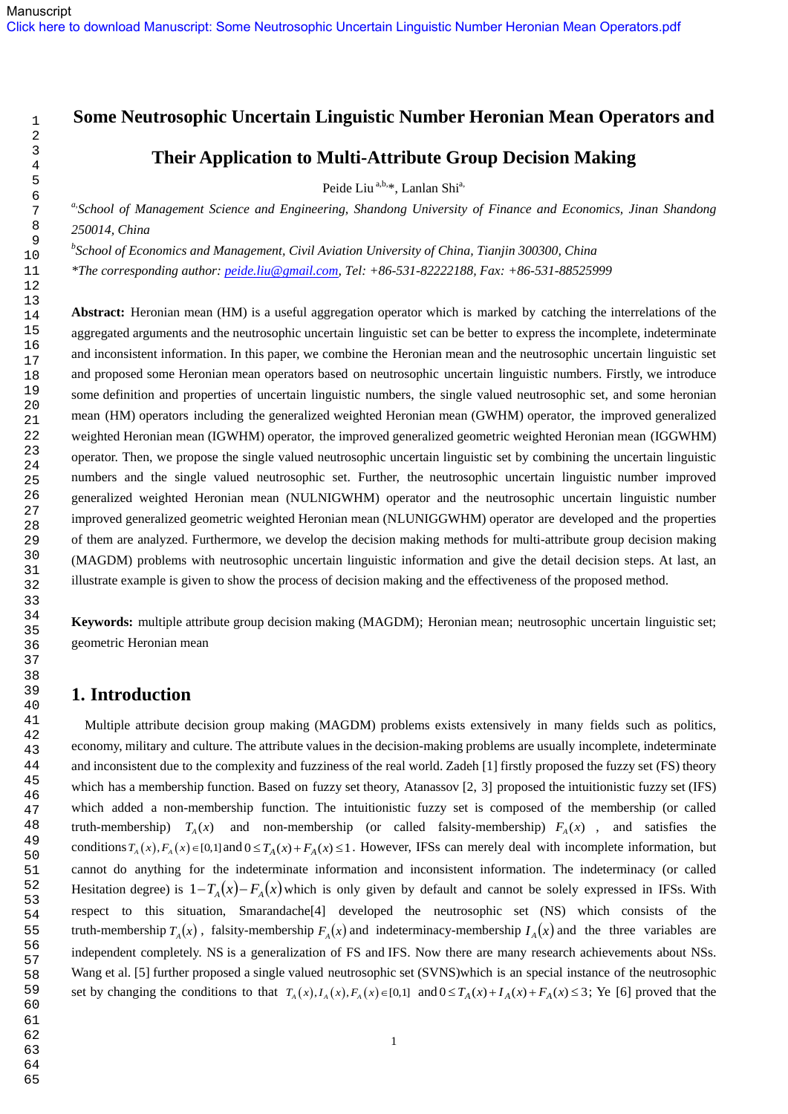# **Some Neutrosophic Uncertain Linguistic Number Heronian Mean Operators and**

# **Their Application to Multi-Attribute Group Decision Making**

Peide Liu<sup>a,b,\*</sup>, Lanlan Shi<sup>a,</sup>

*a,School of Management Science and Engineering, Shandong University of Finance and Economics, Jinan Shandong 250014, China*

*b School of Economics and Management, Civil Aviation University of China, Tianjin 300300, China*

*\*The corresponding author: [peide.liu@gmail.com,](mailto:peide.liu@gmail.com) Tel: +86-531-82222188, Fax: +86-531-88525999*

**Abstract:** Heronian mean (HM) is a useful aggregation operator which is marked by catching the interrelations of the aggregated arguments and the neutrosophic uncertain linguistic set can be better to express the incomplete, indeterminate and inconsistent information. In this paper, we combine the Heronian mean and the neutrosophic uncertain linguistic set and proposed some Heronian mean operators based on neutrosophic uncertain linguistic numbers. Firstly, we introduce some definition and properties of uncertain linguistic numbers, the single valued neutrosophic set, and some heronian mean (HM) operators including the generalized weighted Heronian mean (GWHM) operator, the improved generalized weighted Heronian mean (IGWHM) operator, the improved generalized geometric weighted Heronian mean (IGGWHM) operator. Then, we propose the single valued neutrosophic uncertain linguistic set by combining the uncertain linguistic numbers and the single valued neutrosophic set. Further, the neutrosophic uncertain linguistic number improved generalized weighted Heronian mean (NULNIGWHM) operator and the neutrosophic uncertain linguistic number improved generalized geometric weighted Heronian mean (NLUNIGGWHM) operator are developed and the properties of them are analyzed. Furthermore, we develop the decision making methods for multi-attribute group decision making (MAGDM) problems with neutrosophic uncertain linguistic information and give the detail decision steps. At last, an illustrate example is given to show the process of decision making and the effectiveness of the proposed method.

**Keywords:** multiple attribute group decision making (MAGDM); Heronian mean; neutrosophic uncertain linguistic set; geometric Heronian mean

# **1. Introduction**

 Multiple attribute decision group making (MAGDM) problems exists extensively in many fields such as politics, economy, military and culture. The attribute values in the decision-making problems are usually incomplete, indeterminate and inconsistent due to the complexity and fuzziness of the real world. Zadeh [1] firstly proposed the fuzzy set (FS) theory which has a membership function. Based on fuzzy set theory, Atanassov [2, 3] proposed the intuitionistic fuzzy set (IFS) which added a non-membership function. The intuitionistic fuzzy set is composed of the membership (or called truth-membership)  $T_A(x)$  and non-membership (or called falsity-membership)  $F_A(x)$ , and satisfies the conditions  $T_A(x)$ ,  $F_A(x) \in [0,1]$  and  $0 \le T_A(x) + F_A(x) \le 1$ . However, IFSs can merely deal with incomplete information, but cannot do anything for the indeterminate information and inconsistent information. The indeterminacy (or called Hesitation degree) is  $1 - T_A(x) - F_A(x)$  which is only given by default and cannot be solely expressed in IFSs. With respect to this situation, Smarandache[4] developed the neutrosophic set (NS) which consists of the truth-membership  $T_A(x)$ , falsity-membership  $F_A(x)$  and indeterminacy-membership  $I_A(x)$  and the three variables are independent completely. NS is a generalization of FS and IFS. Now there are many research achievements about NSs. Wang et al. [5] further proposed a single valued neutrosophic set (SVNS)which is an special instance of the neutrosophic set by changing the conditions to that  $T_A(x)$ ,  $I_A(x)$ ,  $F_A(x) \in [0,1]$  and  $0 \le T_A(x) + I_A(x) + F_A(x) \le 3$ ; Ye [6] proved that the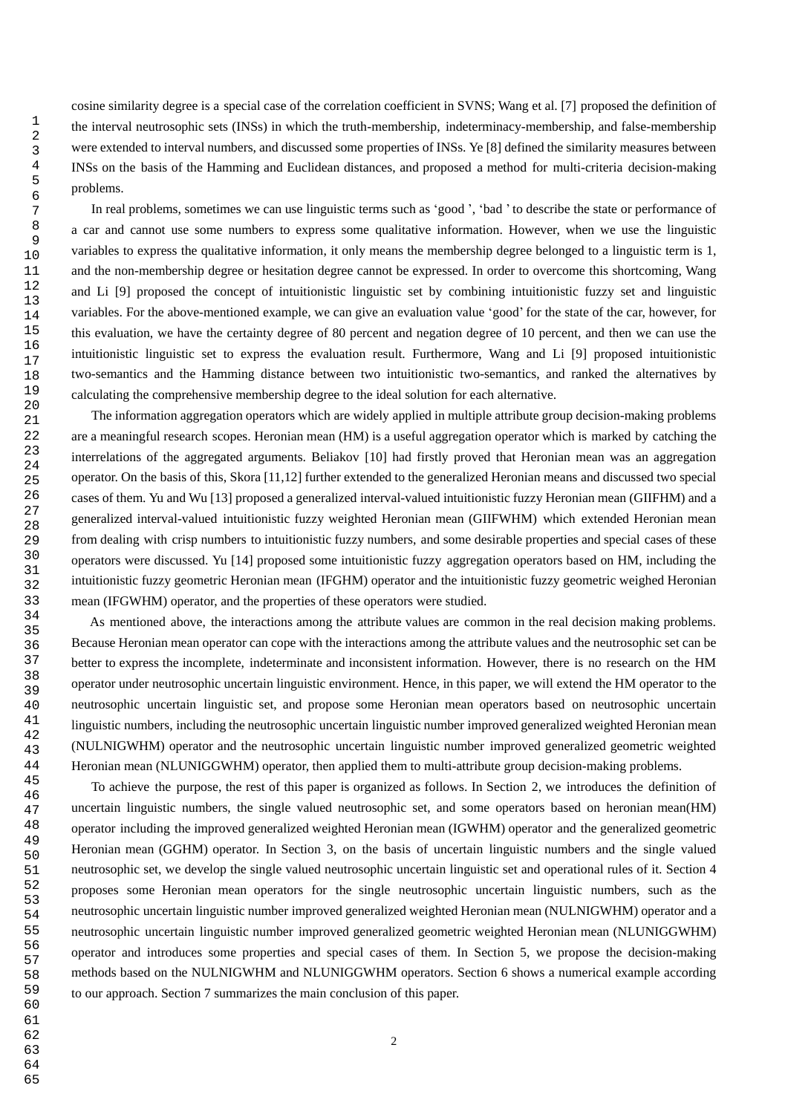cosine similarity degree is a special case of the correlation coefficient in SVNS; Wang et al. [7] proposed the definition of the interval neutrosophic sets (INSs) in which the truth-membership, indeterminacy-membership, and false-membership were extended to interval numbers, and discussed some properties of INSs. Ye [8] defined the similarity measures between INSs on the basis of the Hamming and Euclidean distances, and proposed a method for multi-criteria decision-making problems.

In real problems, sometimes we can use linguistic terms such as 'good', 'bad' to describe the state or performance of a car and cannot use some numbers to express some qualitative information. However, when we use the linguistic variables to express the qualitative information, it only means the membership degree belonged to a linguistic term is 1, and the non-membership degree or hesitation degree cannot be expressed. In order to overcome this shortcoming, Wang and Li [9] proposed the concept of intuitionistic linguistic set by combining intuitionistic fuzzy set and linguistic variables. For the above-mentioned example, we can give an evaluation value 'good' for the state of the car, however, for this evaluation, we have the certainty degree of 80 percent and negation degree of 10 percent, and then we can use the intuitionistic linguistic set to express the evaluation result. Furthermore, Wang and Li [9] proposed intuitionistic two-semantics and the Hamming distance between two intuitionistic two-semantics, and ranked the alternatives by calculating the comprehensive membership degree to the ideal solution for each alternative.

 The information aggregation operators which are widely applied in multiple attribute group decision-making problems are a meaningful research scopes. Heronian mean (HM) is a useful aggregation operator which is marked by catching the interrelations of the aggregated arguments. Beliakov [10] had firstly proved that Heronian mean was an aggregation operator. On the basis of this, Skora [11,12] further extended to the generalized Heronian means and discussed two special cases of them. Yu and Wu [13] proposed a generalized interval-valued intuitionistic fuzzy Heronian mean (GIIFHM) and a generalized interval-valued intuitionistic fuzzy weighted Heronian mean (GIIFWHM) which extended Heronian mean from dealing with crisp numbers to intuitionistic fuzzy numbers, and some desirable properties and special cases of these operators were discussed. Yu [14] proposed some intuitionistic fuzzy aggregation operators based on HM, including the intuitionistic fuzzy geometric Heronian mean (IFGHM) operator and the intuitionistic fuzzy geometric weighed Heronian mean (IFGWHM) operator, and the properties of these operators were studied.

 As mentioned above, the interactions among the attribute values are common in the real decision making problems. Because Heronian mean operator can cope with the interactions among the attribute values and the neutrosophic set can be better to express the incomplete, indeterminate and inconsistent information. However, there is no research on the HM operator under neutrosophic uncertain linguistic environment. Hence, in this paper, we will extend the HM operator to the neutrosophic uncertain linguistic set, and propose some Heronian mean operators based on neutrosophic uncertain linguistic numbers, including the neutrosophic uncertain linguistic number improved generalized weighted Heronian mean (NULNIGWHM) operator and the neutrosophic uncertain linguistic number improved generalized geometric weighted Heronian mean (NLUNIGGWHM) operator, then applied them to multi-attribute group decision-making problems.

 To achieve the purpose, the rest of this paper is organized as follows. In Section 2, we introduces the definition of uncertain linguistic numbers, the single valued neutrosophic set, and some operators based on heronian mean(HM) operator including the improved generalized weighted Heronian mean (IGWHM) operator and the generalized geometric Heronian mean (GGHM) operator. In Section 3, on the basis of uncertain linguistic numbers and the single valued neutrosophic set, we develop the single valued neutrosophic uncertain linguistic set and operational rules of it. Section 4 proposes some Heronian mean operators for the single neutrosophic uncertain linguistic numbers, such as the neutrosophic uncertain linguistic number improved generalized weighted Heronian mean (NULNIGWHM) operator and a neutrosophic uncertain linguistic number improved generalized geometric weighted Heronian mean (NLUNIGGWHM) operator and introduces some properties and special cases of them. In Section 5, we propose the decision-making methods based on the NULNIGWHM and NLUNIGGWHM operators. Section 6 shows a numerical example according to our approach. Section 7 summarizes the main conclusion of this paper.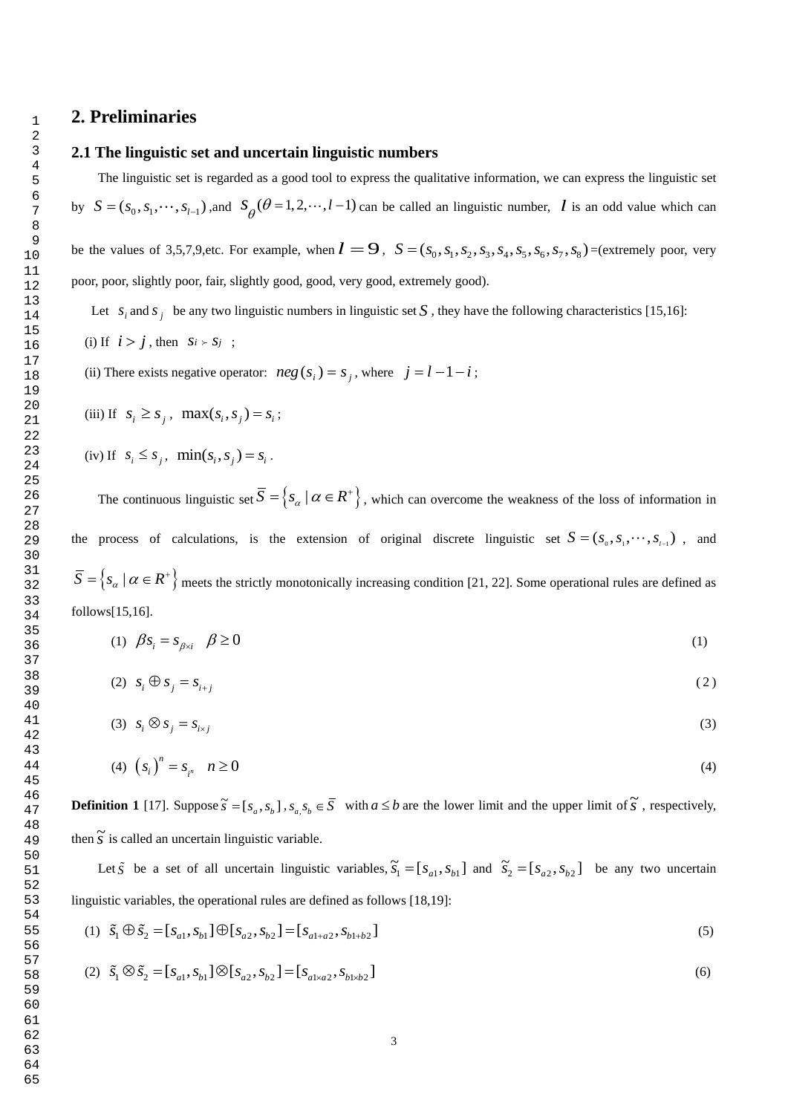# **2. Preliminaries**

 

### **2.1 The linguistic set and uncertain linguistic numbers**

The linguistic set is regarded as a good tool to express the qualitative information, we can express the linguistic set by  $S = (s_0, s_1, \dots, s_{l-1})$ , and  $S_\theta(\theta = 1, 2, \dots, l-1)$  can be called an linguistic number, *l* is an odd value which can be the values of 3,5,7,9,etc. For example, when  $\mathbf{l} = 9$ ,  $S = (s_0, s_1, s_2, s_3, s_4, s_5, s_6, s_7, s_8)$  = (extremely poor, very poor, poor, slightly poor, fair, slightly good, good, very good, extremely good).

Let  $s_i$  and  $s_j$  be any two linguistic numbers in linguistic set S, they have the following characteristics [15,16]: (i) If  $i > j$ , then  $s_i > s_j$ ;

(ii) There exists negative operator:  $neg(S_i) = s_j$ , where  $j = l - 1 - i$ ;

(iii) If 
$$
s_i \geq s_j
$$
,  $\max(s_i, s_j) = s_i$ ;

(iv) If 
$$
s_i \leq s_j
$$
,  $min(s_i, s_j) = s_i$ .

The continuous linguistic set  $\overline{S} = \{s_\alpha \mid \alpha \in \mathbb{R}^+\}$ , which can overcome the weakness of the loss of information in the process of calculations, is the extension of original discrete linguistic set  $S = (s_0, s_1, \dots, s_{t-1})$ , and  $\overline{S} = \{s_\alpha \mid \alpha \in R^+\}$  meets the strictly monotonically increasing condition [21, 22]. Some operational rules are defined as follows[15,16].

$$
(1) \quad \beta s_i = s_{\beta \times i} \quad \beta \ge 0 \tag{1}
$$

$$
(2) \quad S_i \oplus S_j = S_{i+j} \tag{2}
$$

$$
(3) \quad s_i \otimes s_j = s_{i \times j} \tag{3}
$$

(4) 
$$
(s_i)^n = s_{i^n} \quad n \ge 0
$$

**Definition 1** [17]. Suppose  $\tilde{s} = [s_a, s_b]$ ,  $s_a s_b \in \overline{S}$  with  $a \leq b$  are the lower limit and the upper limit of  $\tilde{s}$ , respectively, then  $\tilde{s}$  is called an uncertain linguistic variable.

Let  $\tilde{S}$  be a set of all uncertain linguistic variables,  $\tilde{S}_1 = [S_{a1}, S_{b1}]$  and  $\tilde{S}_2 = [S_{a2}, S_{b2}]$  be any two uncertain

linguistic variables, the operational rules are defined as follows [18,19]:  
\n(1) 
$$
\tilde{s}_1 \oplus \tilde{s}_2 = [s_{a1}, s_{b1}] \oplus [s_{a2}, s_{b2}] = [s_{a1+a2}, s_{b1+b2}]
$$
 (5)

(2) 
$$
\tilde{s}_1 \otimes \tilde{s}_2 = [s_{a1}, s_{b1}] \otimes [s_{a2}, s_{b2}] = [s_{a1 \times a2}, s_{b1 \times b2}]
$$
 (6)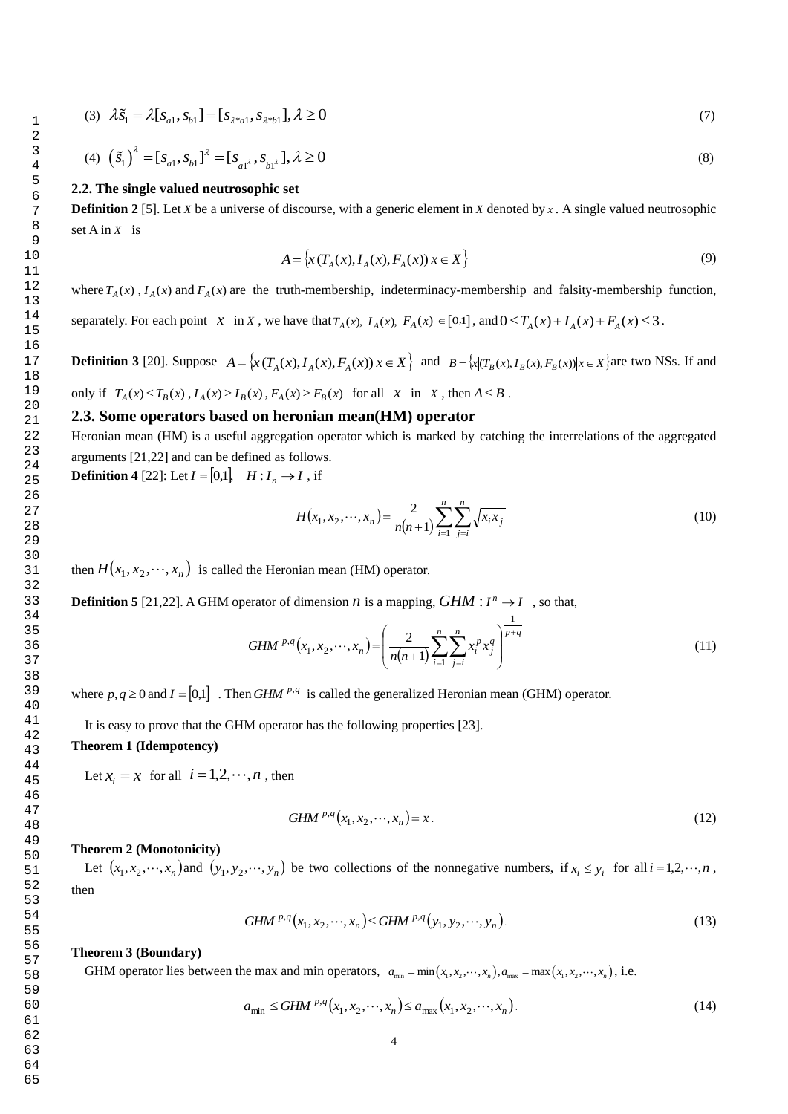65

(3) 
$$
\lambda \tilde{s}_1 = \lambda [s_{a1}, s_{b1}] = [s_{\lambda * a1}, s_{\lambda * b1}], \lambda \ge 0
$$
 (7)

(4) 
$$
(\tilde{s}_1)^{\lambda} = [s_{a1}, s_{b1}]^{\lambda} = [s_{a1^{\lambda}}, s_{b1^{\lambda}}], \lambda \ge 0
$$
 (8)

#### **2.2. The single valued neutrosophic set**

**Definition 2** [5]. Let *X* be a universe of discourse, with a generic element in *X* denoted by  $x$ . A single valued neutrosophic set A in *X* is

$$
A = \left\{ x | (T_A(x), I_A(x), F_A(x)) | x \in X \right\} \tag{9}
$$

where  $T_A(x)$ ,  $I_A(x)$  and  $F_A(x)$  are the truth-membership, indeterminacy-membership and falsity-membership function,

separately. For each point  $x \in X$ , we have that  $T_A(x)$ ,  $I_A(x)$ ,  $F_A(x) \in [0,1]$ , and  $0 \le T_A(x) + I_A(x) + F_A(x) \le 3$ .

**Definition 3** [20]. Suppose  $A = \{x | (T_A(x), I_A(x), F_A(x)) | x \in X\}$  and  $B = \{x | (T_B(x), I_B(x), F_B(x)) | x \in X\}$  are two NSs. If and

only if  $T_A(x) \le T_B(x)$ ,  $I_A(x) \ge I_B(x)$ ,  $F_A(x) \ge F_B(x)$  for all x in x, then  $A \le B$ .

## **2.3. Some operators based on heronian mean(HM) operator**

Heronian mean (HM) is a useful aggregation operator which is marked by catching the interrelations of the aggregated arguments [21,22] and can be defined as follows.

**Definition 4** [22]: Let  $I = [0,1], H : I_n \to I$ , if

$$
H(x_1, x_2, \cdots, x_n) = \frac{2}{n(n+1)} \sum_{i=1}^n \sum_{j=i}^n \sqrt{x_i x_j}
$$
(10)

then  $H(x_1, x_2, \dots, x_n)$  is called the Heronian mean (HM) operator.

**Definition 5** [21,22]. A GHM operator of dimension *n* is a mapping,  $GHM: I^n \rightarrow I$ , so that,

*GHM* 
$$
^{p,q}(x_1, x_2, \dots, x_n) = \left(\frac{2}{n(n+1)} \sum_{i=1}^n \sum_{j=i}^n x_i^p x_j^q\right)^{\frac{1}{p+q}}
$$
 (11)

where  $p, q \ge 0$  and  $I = [0,1]$ . Then *GHM* <sup> $p,q$ </sup> is called the generalized Heronian mean (GHM) operator.

It is easy to prove that the GHM operator has the following properties [23].

## **Theorem 1 (Idempotency)**

Let  $x_i = x$  for all  $i = 1, 2, \dots, n$ , then

$$
GHM^{p,q}(x_1, x_2, \cdots, x_n) = x.
$$
\n<sup>(12)</sup>

#### **Theorem 2 (Monotonicity)**

Let  $(x_1, x_2, \dots, x_n)$  and  $(y_1, y_2, \dots, y_n)$  be two collections of the nonnegative numbers, if  $x_i \le y_i$  for all  $i = 1, 2, \dots, n$ , then

$$
GHM^{p,q}(x_1, x_2, \cdots, x_n) \leq GHM^{p,q}(y_1, y_2, \cdots, y_n).
$$
\n(13)

#### **Theorem 3 (Boundary)**

**Theorem 3 (Boundary)**<br>GHM operator lies between the max and min operators,  $a_{\min} = \min(x_1, x_2, \dots, x_n)$ ,  $a_{\max} = \max(x_1, x_2, \dots, x_n)$ , i.e.

$$
a_{\min} \leq GHM^{p,q}(x_1, x_2, \cdots, x_n) \leq a_{\max}(x_1, x_2, \cdots, x_n).
$$
 (14)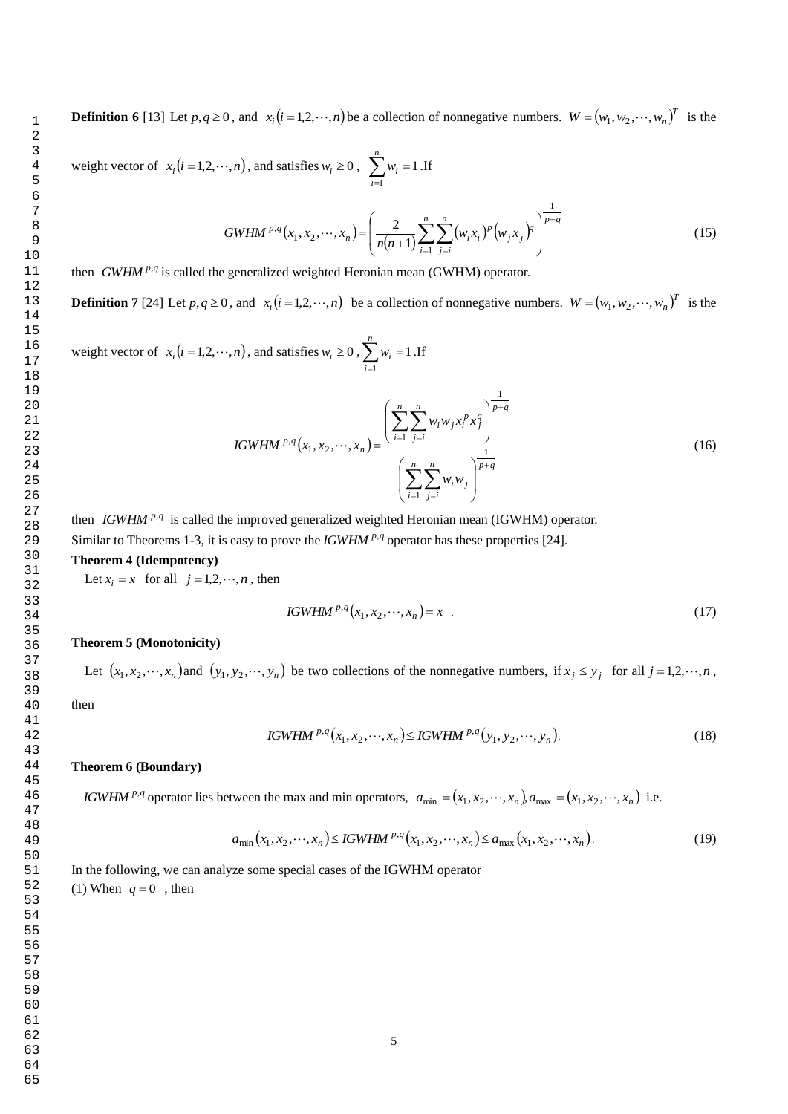**Definition 6** [13] Let  $p, q \ge 0$ , and  $x_i(i = 1, 2, \dots, n)$  be a collection of nonnegative numbers.  $W = (w_1, w_2, \dots, w_n)^T$  is the

weight vector of  $x_i (i = 1, 2, \dots, n)$ , and satisfies  $w_i \ge 0$ ,  $\sum_{i=1}^n w_i =$ *n i wi* 1 1 .If

$$
GWHM^{p,q}(x_1, x_2, \cdots, x_n) = \left(\frac{2}{n(n+1)} \sum_{i=1}^n \sum_{j=i}^n (w_i x_i)^p (w_j x_j)^q\right)^{\frac{1}{p+q}}
$$
(15)

then *GWHM*  $P \cdot q$  is called the generalized weighted Heronian mean (GWHM) operator.

**Definition 7** [24] Let  $p, q \ge 0$ , and  $x_i(i = 1, 2, \dots, n)$  be a collection of nonnegative numbers.  $W = (w_1, w_2, \dots, w_n)^T$  is the

weight vector of  $x_i (i = 1, 2, \dots, n)$ , and satisfies  $w_i \ge 0$ ,  $\sum_{i=1}^n w_i =$ *n i wi* 1 1 .If

IGWHM <sup>p,q</sup> 
$$
(x_1, x_2, \dots, x_n)
$$
 = 
$$
\frac{\left(\sum_{i=1}^{n} \sum_{j=i}^{n} w_i w_j x_i^p x_j^q\right)^{\frac{1}{p+q}}}{\left(\sum_{i=1}^{n} \sum_{j=i}^{n} w_i w_j\right)^{\frac{1}{p+q}}}
$$
 (16)

then *IGWHM*<sup> $p,q$ </sup> is called the improved generalized weighted Heronian mean (IGWHM) operator. Similar to Theorems 1-3, it is easy to prove the *IGWHM*  $P$ -*q* operator has these properties [24]. **Theorem 4 (Idempotency)**

Let  $x_i = x$  for all  $j = 1, 2, \dots, n$ , then

IGWHM 
$$
^{p,q}(x_1, x_2, \cdots, x_n) = x
$$
 (17)

#### **Theorem 5 (Monotonicity)**

Let  $(x_1, x_2, \dots, x_n)$  and  $(y_1, y_2, \dots, y_n)$  be two collections of the nonnegative numbers, if  $x_j \leq y_j$  for all  $j = 1, 2, \dots, n$ ,

then

IGWHM <sup>p,q</sup>(x<sub>1</sub>, x<sub>2</sub>,...,x<sub>n</sub>) 
$$
\leq
$$
 IGWHM <sup>p,q</sup>(y<sub>1</sub>, y<sub>2</sub>,...,y<sub>n</sub>). (18)

#### **Theorem 6 (Boundary)**

*IGWHM* <sup>*p*,*q*</sup> operator lies between the max and min operators,  $a_{\min} = (x_1, x_2, \dots, x_n) a_{\max} = (x_1, x_2, \dots, x_n)$  i.e.

$$
a_{\min}(x_1, x_2, \cdots, x_n) \le \text{IGWHM}^{p,q}(x_1, x_2, \cdots, x_n) \le a_{\max}(x_1, x_2, \cdots, x_n). \tag{19}
$$

In the following, we can analyze some special cases of the IGWHM operator (1) When  $q = 0$ , then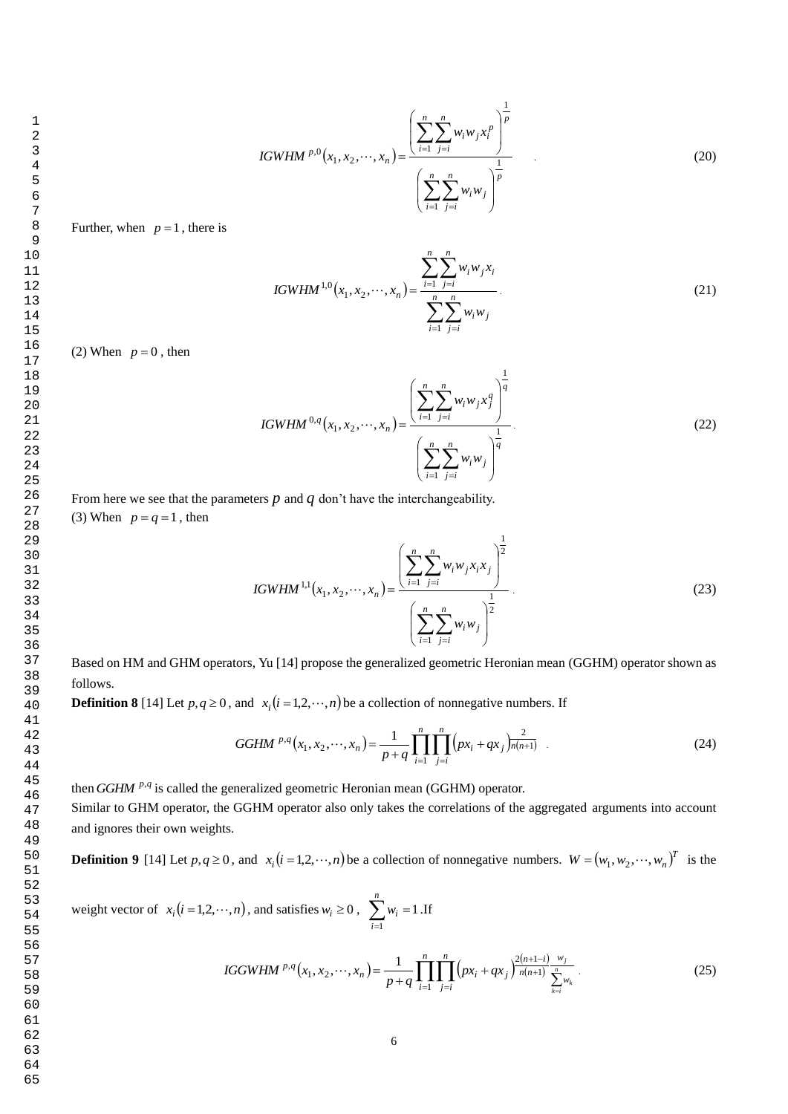IGWHM <sup>p,0</sup>(x<sub>1</sub>, x<sub>2</sub>,...,x<sub>n</sub>) = 
$$
\frac{\left(\sum_{i=1}^{n} \sum_{j=i}^{n} w_{i} w_{j} x_{i}^{p}\right)^{\frac{1}{p}}}{\left(\sum_{i=1}^{n} \sum_{j=i}^{n} w_{i} w_{j}\right)^{\frac{1}{p}}}
$$
(20)

Further, when  $p = 1$ , there is

IGWHM<sup>1,0</sup>(x<sub>1</sub>, x<sub>2</sub>,...,x<sub>n</sub>) = 
$$
\frac{\sum_{i=1}^{n} \sum_{j=i}^{n} w_i w_j x_i}{\sum_{i=1}^{n} \sum_{j=i}^{n} w_i w_j}.
$$
 (21)

(2) When  $p = 0$ , then

IGWHM <sup>0,q</sup> 
$$
(x_1, x_2, \dots, x_n)
$$
 = 
$$
\frac{\left(\sum_{i=1}^n \sum_{j=i}^n w_i w_j x_j^q\right)^{\frac{1}{q}}}{\left(\sum_{i=1}^n \sum_{j=i}^n w_i w_j\right)^{\frac{1}{q}}}.
$$
 (22)

From here we see that the parameters  $p$  and  $q$  don't have the interchangeability. (3) When  $p = q = 1$ , then

IGWHM<sup>1,1</sup>(x<sub>1</sub>, x<sub>2</sub>,...,x<sub>n</sub>) = 
$$
\frac{\left(\sum_{i=1}^{n} \sum_{j=i}^{n} w_i w_j x_i x_j\right)^{\frac{1}{2}}}{\left(\sum_{i=1}^{n} \sum_{j=i}^{n} w_i w_j\right)^{\frac{1}{2}}}.
$$
(23)

Based on HM and GHM operators, Yu [14] propose the generalized geometric Heronian mean (GGHM) operator shown as follows.

**Definition 8** [14] Let  $p, q \ge 0$ , and  $x_i(i = 1,2,\dots,n)$  be a collection of nonnegative numbers. If

GGHM <sup>p,q</sup>(x<sub>1</sub>, x<sub>2</sub>,...,x<sub>n</sub>) = 
$$
\frac{1}{p+q} \prod_{i=1}^{n} \prod_{j=i}^{n} (px_i + qx_j) \frac{2}{n(n+1)}
$$
 (24)

then *GGHM* <sup>p,q</sup> is called the generalized geometric Heronian mean (GGHM) operator.

Similar to GHM operator, the GGHM operator also only takes the correlations of the aggregated arguments into account and ignores their own weights.

**Definition 9** [14] Let  $p, q \ge 0$ , and  $x_i(i = 1, 2, \dots, n)$  be a collection of nonnegative numbers.  $W = (w_1, w_2, \dots, w_n)^T$  is the

weight vector of  $x_i (i = 1, 2, \dots, n)$ , and satisfies  $w_i \ge 0$ ,  $\sum_{i=1}^n w_i =$ *n i wi* 1 1 .If

IGGWHM <sup>p,q</sup>(x<sub>1</sub>, x<sub>2</sub>,...,x<sub>n</sub>) = 
$$
\frac{1}{p+q} \prod_{i=1}^{n} \prod_{j=i}^{n} (px_i + qx_j)^{\frac{2(n+1-i)}{n(n+1)} \sum_{k=i}^{w_j} w_k}.
$$
 (25)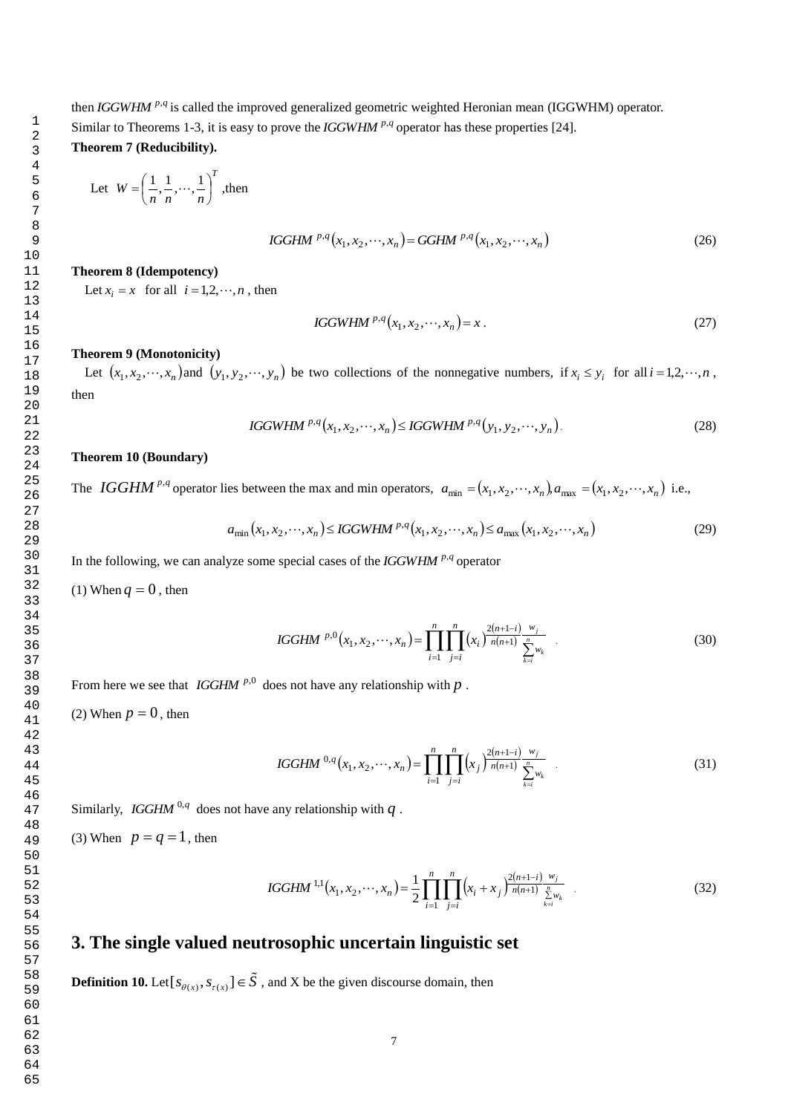then *IGGWHM* <sup>p,q</sup> is called the improved generalized geometric weighted Heronian mean (IGGWHM) operator. Similar to Theorems 1-3, it is easy to prove the *IGGWHM*  $P$ -*q* operator has these properties [24]. **Theorem 7 (Reducibility).**

Let 
$$
W = \left(\frac{1}{n}, \frac{1}{n}, \cdots, \frac{1}{n}\right)^T
$$
, then

 *<sup>n</sup> p q n p q IGGHM x* , *x* , , *x GGHM x* , *x* , , *x* <sup>1</sup> <sup>2</sup> , 1 2 , (26)

#### **Theorem 8 (Idempotency)**

Let  $x_i = x$  for all  $i = 1, 2, \dots, n$ , then

$$
IGGWHM^{p,q}(x_1, x_2, \cdots, x_n) = x.
$$
\n<sup>(27)</sup>

#### **Theorem 9 (Monotonicity)**

Let  $(x_1, x_2, \dots, x_n)$  and  $(y_1, y_2, \dots, y_n)$  be two collections of the nonnegative numbers, if  $x_i \leq y_i$  for all  $i = 1, 2, \dots, n$ , then

IGGWHM <sup>p,q</sup>(x<sub>1</sub>, x<sub>2</sub>,...,x<sub>n</sub>) 
$$
\leq
$$
 IGGWHM <sup>p,q</sup>(y<sub>1</sub>, y<sub>2</sub>,...,y<sub>n</sub>). (28)

#### **Theorem 10 (Boundary)**

The *IGGHM*<sup>*p*,*q*</sup> operator lies between the max and min operators,  $a_{\min} = (x_1, x_2, \dots, x_n) a_{\max} = (x_1, x_2, \dots, x_n)$  i.e.,

$$
a_{\min}(x_1, x_2, \cdots, x_n) \le \text{IGGWHM}^{p,q}(x_1, x_2, \cdots, x_n) \le a_{\max}(x_1, x_2, \cdots, x_n)
$$
\n(29)

In the following, we can analyze some special cases of the *IGGWHM* <sup>p,q</sup> operator

(1) When  $q = 0$ , then

IGGHM <sup>p,0</sup>(x<sub>1</sub>, x<sub>2</sub>,...,x<sub>n</sub>) = 
$$
\prod_{i=1}^{n} \prod_{j=i}^{n} (x_i)^{\frac{2(n+1-i)}{n(n+1)} \frac{w_j}{\sum_{k=i}^{n} w_k}}
$$
(30)

From here we see that *IGGHM*<sup> $p,0$ </sup> does not have any relationship with  $p$ .

(2) When  $p = 0$ , then

IGGHM <sup>0,q</sup>(x<sub>1</sub>, x<sub>2</sub>,...,x<sub>n</sub>) = 
$$
\prod_{i=1}^{n} \prod_{j=i}^{n} (x_j)^{\frac{2(n+1-i)}{n(n+1)} \frac{w_j}{\sum_{k=i}^{n} w_k}}
$$
(31)

Similarly, *IGGHM* <sup>0,*q*</sup> does not have any relationship with *q*.

(3) When  $p = q = 1$ , then

IGGHM<sup>1,1</sup>(x<sub>1</sub>, x<sub>2</sub>,...,x<sub>n</sub>) = 
$$
\frac{1}{2} \prod_{i=1}^{n} \prod_{j=i}^{n} (x_i + x_j)^{\frac{2(n+1-i)}{n(n+1)} \sum_{\substack{n\\k=i}}^{w_j} (x_k + x_j)^{\frac{2(n+1-i)}{n}}.
$$
 (32)

# **3. The single valued neutrosophic uncertain linguistic set**

**Definition 10.** Let  $[s_{\theta(x)}, s_{\tau(x)}] \in \overline{S}$ , and X be the given discourse domain, then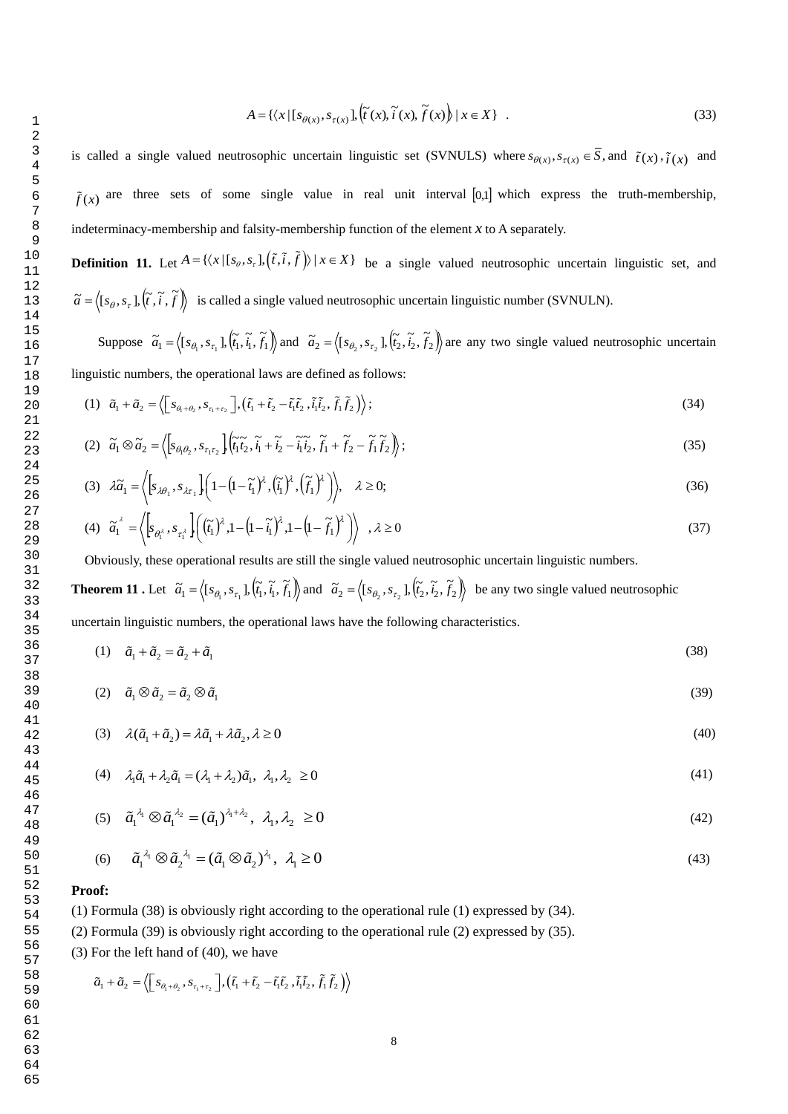$$
A = \{ \langle x | [s_{\theta(x)}, s_{\tau(x)}], (\tilde{t}(x), \tilde{t}(x), \tilde{f}(x)) | x \in X \} .
$$
 (33)

is called a single valued neutrosophic uncertain linguistic set (SVNULS) where  $s_{\theta(x)}, s_{\tau(x)} \in S$ , and  $\tilde{t}(x), \tilde{t}(x)$  and  $\tilde{f}(x)$  are three sets of some single value in real unit interval [0,1] which express the truth-membership, indeterminacy-membership and falsity-membership function of the element *x* to A separately.

**Definition 11.** Let  $A = \{ \langle x | [s_\theta, s_\tau], (\tilde{t}, \tilde{t}, \tilde{f}) \rangle \mid x \in X \}$  be a single valued neutrosophic uncertain linguistic set, and  $\tilde{a} = \langle [s_\theta, s_\tau], (\tilde{t}, \tilde{i}, \tilde{f}) \rangle$  is called a single valued neutrosophic uncertain linguistic number (SVNULN).

Suppose  $\tilde{a}_1 = \langle [s_{\theta_1}, s_{\tau_1}], (\tilde{t}_1, \tilde{t}_1, \tilde{t}_1) \rangle$  and  $\tilde{a}_2 = \langle [s_{\theta_2}, s_{\tau_2}], (\tilde{t}_2, \tilde{t}_2, \tilde{t}_2) \rangle$  are any two single valued neutrosophic uncertain linguistic numbers, the operational laws are defined as follows:

(1) 
$$
\tilde{a}_1 + \tilde{a}_2 = \left\langle \left[ s_{\theta_1 + \theta_2}, s_{\tau_1 + \tau_2} \right], \left( \tilde{t}_1 + \tilde{t}_2 - \tilde{t}_1 \tilde{t}_2, \tilde{t}_1 \tilde{t}_2, \tilde{f}_1 \tilde{f}_2 \right) \right\rangle;
$$
 (34)

$$
(2) \quad \widetilde{a}_1 \otimes \widetilde{a}_2 = \left\langle \left[ s_{\theta_1 \theta_2}, s_{\tau_1 \tau_2} \right] \left( \widetilde{t}_1 \widetilde{t}_2, \widetilde{t}_1 + \widetilde{t}_2 - \widetilde{t}_1 \widetilde{t}_2, \widetilde{f}_1 + \widetilde{f}_2 - \widetilde{f}_1 \widetilde{f}_2 \right) \right\rangle; \tag{35}
$$

$$
(3) \quad \lambda \widetilde{a}_1 = \left\langle \left[ s_{\lambda \theta_1}, s_{\lambda \tau_1} \right] \left( 1 - \left( 1 - \widetilde{t}_1 \right)^{\lambda}, \left( \widetilde{t}_1 \right)^{\lambda}, \left( \widetilde{f}_1 \right)^{\lambda} \right) \right\rangle, \quad \lambda \ge 0; \tag{36}
$$

$$
(4) \quad \widetilde{a}_1^{\lambda} = \left\langle \left[ s_{\theta_1^{\lambda}}, s_{\tau_1^{\lambda}} \right] \left( \left( \widetilde{t}_1 \right)^{\lambda}, 1 - \left( 1 - \widetilde{t}_1 \right)^{\lambda}, 1 - \left( 1 - \widetilde{t}_1 \right)^{\lambda} \right) \right\rangle \quad , \lambda \ge 0 \tag{37}
$$

Obviously, these operational results are still the single valued neutrosophic uncertain linguistic numbers.

**Theorem 11**. Let  $\tilde{a}_1 = \langle [s_{\theta_1}, s_{\tau_1}], (\tilde{t}_1, \tilde{t}_1, \tilde{t}_1] \rangle$  and  $\tilde{a}_2 = \langle [s_{\theta_2}, s_{\tau_2}], (\tilde{t}_2, \tilde{t}_2, \tilde{t}_2] \rangle$  be any two single valued neutrosophic uncertain linguistic numbers, the operational laws have the following characteristics.

$$
(1) \quad \tilde{a}_1 + \tilde{a}_2 = \tilde{a}_2 + \tilde{a}_1 \tag{38}
$$

$$
(2) \quad \tilde{a}_1 \otimes \tilde{a}_2 = \tilde{a}_2 \otimes \tilde{a}_1 \tag{39}
$$

(3) 
$$
\lambda(\tilde{a}_1 + \tilde{a}_2) = \lambda \tilde{a}_1 + \lambda \tilde{a}_2, \lambda \ge 0
$$
 (40)

$$
(4) \quad \lambda_1 \tilde{a}_1 + \lambda_2 \tilde{a}_1 = (\lambda_1 + \lambda_2) \tilde{a}_1, \ \lambda_1, \lambda_2 \ge 0
$$
\n
$$
(41)
$$

(5) 
$$
\tilde{a}_1^{\lambda_1} \otimes \tilde{a}_1^{\lambda_2} = (\tilde{a}_1)^{\lambda_1 + \lambda_2}, \lambda_1, \lambda_2 \ge 0
$$
 (42)

(6) 
$$
\tilde{a}_1^{\lambda_1} \otimes \tilde{a}_2^{\lambda_1} = (\tilde{a}_1 \otimes \tilde{a}_2)^{\lambda_1}, \lambda_1 \ge 0
$$
 (43)

#### **Proof:**

64 65 (1) Formula (38) is obviously right according to the operational rule (1) expressed by (34).

(2) Formula (39) is obviously right according to the operational rule (2) expressed by (35).

(3) For the left hand of (40), we have

$$
\tilde{a}_1 + \tilde{a}_2 = \left\langle \left[ s_{\theta_1 + \theta_2}, s_{\tau_1 + \tau_2} \right], \left( \tilde{t}_1 + \tilde{t}_2 - \tilde{t}_1 \tilde{t}_2, \tilde{t}_1 \tilde{t}_2, \tilde{f}_1 \tilde{f}_2 \right) \right\rangle
$$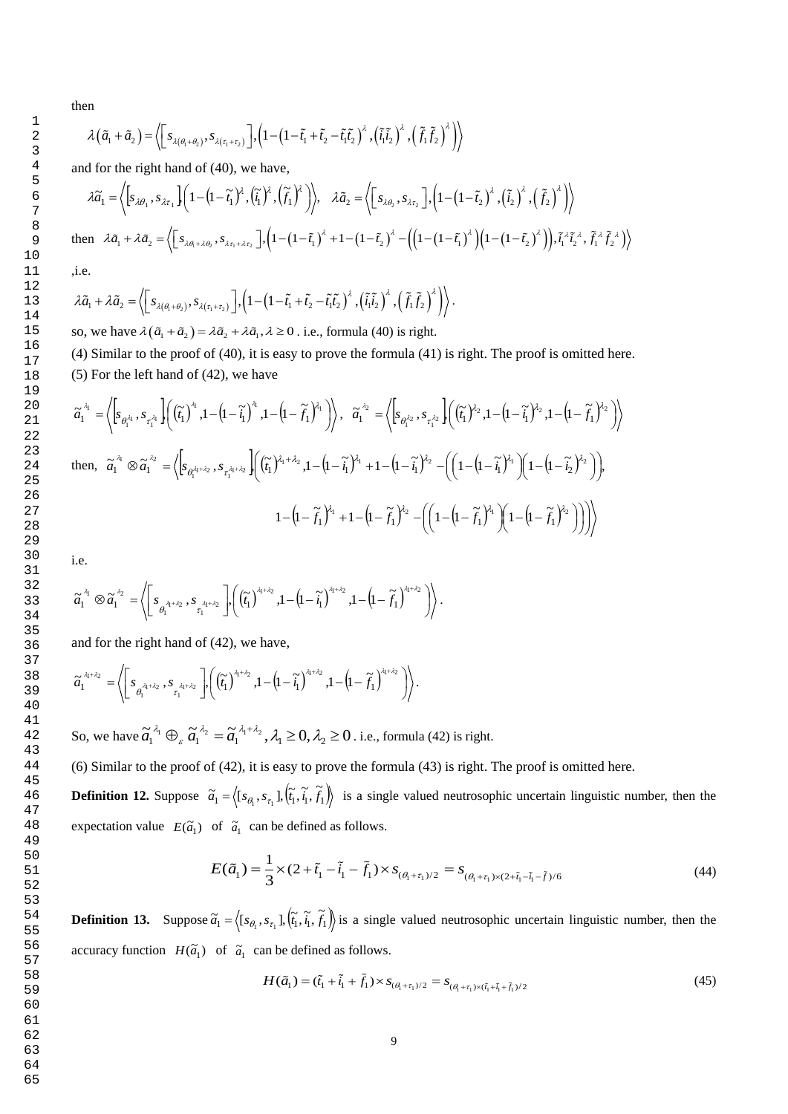then

1

en  
\n
$$
\lambda(\tilde{a}_1 + \tilde{a}_2) = \left\langle \left[ s_{\lambda(\theta_1 + \theta_2)}, s_{\lambda(\tau_1 + \tau_2)} \right], \left( 1 - \left( 1 - \tilde{t}_1 + \tilde{t}_2 - \tilde{t}_1 \tilde{t}_2 \right)^{\lambda}, \left( \tilde{t}_1 \tilde{t}_2 \right)^{\lambda}, \left( \tilde{f}_1 \tilde{f}_2 \right)^{\lambda} \right) \right\rangle
$$

and for the right hand of (40), we have,

$$
\lambda \tilde{a}_1 = \left\langle \left[ s_{\lambda \theta_1}, s_{\lambda \tau_1} \right] \left( 1 - \left( 1 - \tilde{t}_1 \right)^{\lambda}, \left( \tilde{t}_1 \right)^{\lambda} \right] \right\rangle, \quad \lambda \tilde{a}_2 = \left\langle \left[ s_{\lambda \theta_2}, s_{\lambda \tau_2} \right] \left( 1 - \left( 1 - \tilde{t}_2 \right)^{\lambda}, \left( \tilde{t}_2 \right)^{\lambda} \right] \right\rangle
$$
\n
$$
\text{then } \lambda \tilde{a}_1 + \lambda \tilde{a}_2 = \left\langle \left[ s_{\lambda \theta_1 + \lambda \theta_2}, s_{\lambda \tau_1 + \lambda \tau_2} \right] \left( 1 - \left( 1 - \tilde{t}_1 \right)^{\lambda} + 1 - \left( 1 - \tilde{t}_2 \right)^{\lambda} - \left( \left( 1 - \left( 1 - \tilde{t}_1 \right)^{\lambda} \right) \left( 1 - \left( 1 - \tilde{t}_2 \right)^{\lambda} \right) \right), \tilde{t}_1^{\lambda \lambda} \tilde{t}_2^{\lambda \lambda}, \tilde{t}_1^{\lambda \lambda} \tilde{t}_2^{\lambda \lambda} \right\rangle
$$

,i.e.

i.e.  
\n
$$
\lambda \tilde{a}_1 + \lambda \tilde{a}_2 = \left\langle \left[ s_{\lambda(\theta_1 + \theta_2)}, s_{\lambda(\tau_1 + \tau_2)} \right], \left( 1 - \left( 1 - \tilde{t}_1 + \tilde{t}_2 - \tilde{t}_1 \tilde{t}_2 \right)^{\lambda}, \left( \tilde{t}_1 \tilde{t}_2 \right)^{\lambda}, \left( \tilde{f}_1 \tilde{f}_2 \right)^{\lambda} \right) \right\rangle.
$$

so, we have  $\lambda(\tilde{a}_1 + \tilde{a}_2) = \lambda \tilde{a}_2 + \lambda \tilde{a}_1, \lambda \ge 0$ . i.e., formula (40) is right.

(4) Similar to the proof of (40), it is easy to prove the formula (41) is right. The proof is omitted here. (5) For the left hand of (42), we have

$$
\widetilde{a}_{1}^{\lambda_{1}} = \left\langle \left[s_{\theta_{1}^{\lambda_{1}}}, s_{\tau_{1}^{\lambda_{1}}}\right] \left(\left(\widetilde{t}_{1}\right)^{\lambda_{1}}, 1 - \left(1 - \widetilde{t}_{1}\right)^{\lambda_{1}}, 1 - \left(1 - \widetilde{f}_{1}\right)^{\lambda_{1}}\right)\right\rangle, \quad \widetilde{a}_{1}^{\lambda_{2}} = \left\langle \left[s_{\theta_{1}^{\lambda_{2}}}, s_{\tau_{1}^{\lambda_{2}}}\right] \left(\left(\widetilde{t}_{1}\right)^{\lambda_{2}}, 1 - \left(1 - \widetilde{t}_{1}\right)^{\lambda_{2}}, 1 - \left(1 - \widetilde{f}_{1}\right)^{\lambda_{2}}\right)\right\rangle
$$
\nthen, 
$$
\widetilde{a}_{1}^{\lambda_{1}} \otimes \widetilde{a}_{1}^{\lambda_{2}} = \left\langle \left[s_{\theta_{1}^{\lambda_{1}+\lambda_{2}}}, s_{\tau_{1}^{\lambda_{1}+\lambda_{2}}}\right] \left(\left(\widetilde{t}_{1}\right)^{\lambda_{1}+\lambda_{2}}, 1 - \left(1 - \widetilde{t}_{1}\right)^{\lambda_{1}} + 1 - \left(1 - \widetilde{t}_{1}\right)^{\lambda_{2}} - \left(\left(1 - \left(1 - \widetilde{t}_{1}\right)^{\lambda_{1}}\right)\left(1 - \left(1 - \widetilde{t}_{2}\right)^{\lambda_{2}}\right)\right)\right),
$$
\n
$$
1 - \left(1 - \widetilde{f}_{1}\right)^{\lambda_{1}} + 1 - \left(1 - \widetilde{f}_{1}\right)^{\lambda_{2}} - \left(\left(1 - \left(1 - \widetilde{t}_{1}\right)^{\lambda_{1}}\right)\left(1 - \left(1 - \widetilde{f}_{1}\right)^{\lambda_{2}}\right)\right)\right)\right\rangle
$$

i.e.

$$
\widetilde{a_1}^{\lambda_1} \otimes \widetilde{a_1}^{\lambda_2} = \left\langle \left[ s_{\theta_1^{\lambda_1 + \lambda_2}} , s_{\tau_1^{\lambda_1 + \lambda_2}} \right] , \left( (\widetilde{t_1})^{\lambda_1 + \lambda_2} , 1 - (1 - \widetilde{t_1})^{\lambda_1 + \lambda_2} , 1 - (1 - \widetilde{f_1})^{\lambda_1 + \lambda_2} \right) \right\rangle.
$$

and for the right hand of (42), we have,

$$
\widetilde{a}_1^{\lambda_1+\lambda_2} = \left\langle \left[ s_{\theta_1^{\lambda_1+\lambda_2}} , s_{\tau_1^{\lambda_1+\lambda_2}} \right] \left[ \left( \widetilde{t}_1 \right)^{\lambda_1+\lambda_2}, 1 - \left( 1 - \widetilde{t}_1 \right)^{\lambda_1+\lambda_2}, 1 - \left( 1 - \widetilde{t}_1 \right)^{\lambda_1+\lambda_2} \right] \right\rangle.
$$

So, we have  $\tilde{a}_1^{\lambda_1} \oplus_{\varepsilon} \tilde{a}_1^{\lambda_2} = \tilde{a}_1^{\lambda_1 + \lambda_2}, \lambda_1 \geq 0, \lambda_2 \geq 0$ ε  $\tilde{a}_1^{\lambda_1} \oplus_{\varepsilon} \tilde{a}_1^{\lambda_2} = \tilde{a}_1^{\lambda_1 + \lambda_2}, \lambda_1 \geq 0, \lambda_2 \geq 0$ . i.e., formula (42) is right.

(6) Similar to the proof of (42), it is easy to prove the formula (43) is right. The proof is omitted here.

**Definition 12.** Suppose  $\tilde{a}_1 = \langle [s_{\theta_1}, s_{\tau_1}], (\tilde{i}_1, \tilde{i}_1, \tilde{j}_1] \rangle$  is a single valued neutrosophic uncertain linguistic number, then the expectation value  $E(\tilde{a}_1)$  of  $\tilde{a}_1$  can be defined as follows.

$$
E(\tilde{a}_1) = \frac{1}{3} \times (2 + \tilde{t}_1 - \tilde{t}_1 - \tilde{f}_1) \times s_{(\theta_1 + \tau_1)/2} = s_{(\theta_1 + \tau_1) \times (2 + \tilde{t}_1 - \tilde{t}_1 - \tilde{f})/6}
$$
(44)

**Definition 13.** Suppose  $\tilde{a}_1 = \langle [s_{\theta_1}, s_{\tau_1}], (\tilde{t}_1, \tilde{t}_1, \tilde{t}_1] \rangle$  is a single valued neutrosophic uncertain linguistic number, then the accuracy function  $H(\tilde{a}_1)$  of  $\tilde{a}_1$  can be defined as follows.

$$
H(\tilde{a}_1) = (\tilde{t}_1 + \tilde{t}_1 + \tilde{f}_1) \times s_{(\theta_1 + \tau_1)/2} = s_{(\theta_1 + \tau_1) \times (\tilde{t}_1 + \tilde{t}_1 + \tilde{f}_1)/2}
$$
(45)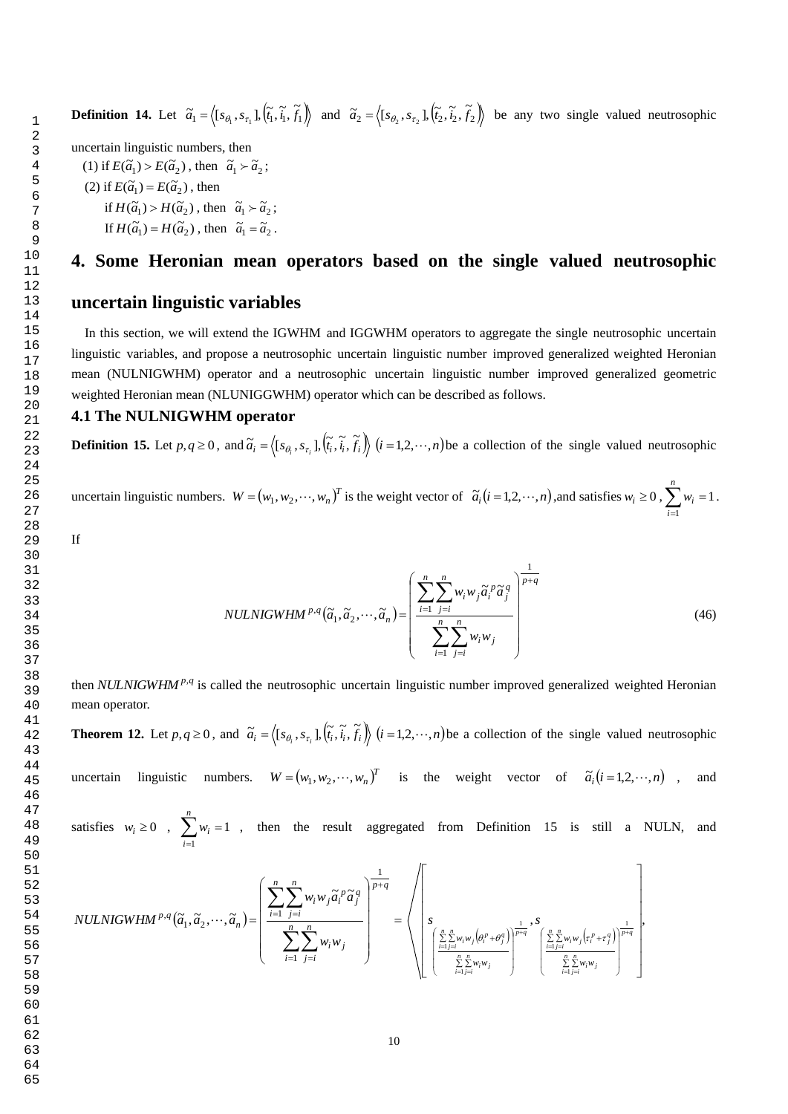65

**Definition 14.** Let  $\tilde{a}_1 = \langle [s_{\theta_1}, s_{\tau_1}], (\tilde{t}_1, \tilde{t}_1, \tilde{t}_1) \rangle$  and  $\tilde{a}_2 = \langle [s_{\theta_2}, s_{\tau_2}], (\tilde{t}_2, \tilde{t}_2, \tilde{t}_2) \rangle$  be any two single valued neutrosophic

uncertain linguistic numbers, then

(1) if  $E(\tilde{a}_1) > E(\tilde{a}_2)$ , then  $\tilde{a}_1 > \tilde{a}_2$ ; (2) if  $E(\tilde{a}_1) = E(\tilde{a}_2)$ , then if  $H(\tilde{a}_1) > H(\tilde{a}_2)$ , then  $\tilde{a}_1 > \tilde{a}_2$ ; If  $H(\tilde{a}_1) = H(\tilde{a}_2)$ , then  $\tilde{a}_1 = \tilde{a}_2$ .

# **4. Some Heronian mean operators based on the single valued neutrosophic**

# **uncertain linguistic variables**

 In this section, we will extend the IGWHM and IGGWHM operators to aggregate the single neutrosophic uncertain linguistic variables, and propose a neutrosophic uncertain linguistic number improved generalized weighted Heronian mean (NULNIGWHM) operator and a neutrosophic uncertain linguistic number improved generalized geometric weighted Heronian mean (NLUNIGGWHM) operator which can be described as follows.

## **4.1 The NULNIGWHM operator**

**Definition 15.** Let  $p, q \ge 0$ , and  $\tilde{a}_i = \langle [s_{\theta_i}, s_{\tau_i}], [\tilde{t}_i, \tilde{t}_i, \tilde{f}_i] \rangle$  $\tilde{a}_i = \langle [s_{\theta_i}, s_{\tau_i}], (\tilde{t}_i, \tilde{t}_i), \tilde{t}_i \rangle \rangle$   $(i = 1, 2, \dots, n)$  be a collection of the single valued neutrosophic

uncertain linguistic numbers.  $W = (w_1, w_2, \dots, w_n)^T$  is the weight vector of  $\tilde{a}_i (i = 1, 2, \dots, n)$ , and satisfies  $w_i \ge 0$ ,  $\sum_{i=1}^{n} w_i =$ *n i wi* 1 1 .

If

$$
NULLNIGWHM^{p,q}(\tilde{a}_1, \tilde{a}_2, \cdots, \tilde{a}_n) = \left(\frac{\sum_{i=1}^n \sum_{j=i}^n w_i w_j \tilde{a}_i^p \tilde{a}_j^q}{\sum_{i=1}^n \sum_{j=i}^n w_i w_j}\right)^{\frac{1}{p+q}}
$$
(46)

then *NULNIGWHM<sup>P,q</sup>* is called the neutrosophic uncertain linguistic number improved generalized weighted Heronian mean operator.

**Theorem 12.** Let  $p, q \ge 0$ , and  $\tilde{a}_i = \langle [s_{\theta_i}, s_{\tau_i}], [\tilde{t}_i, \tilde{t}_i, f_i] \rangle$  $\tilde{a}_i = \langle [s_{\theta_i}, s_{\tau_i}], (\tilde{t}_i, \tilde{t}_i, \tilde{f}_i) \rangle$   $(i = 1, 2, \dots, n)$  be a collection of the single valued neutrosophic

uncertain linguistic numbers.  $W = (w_1, w_2, \dots, w_n)^T$  is the weight vector of  $\tilde{a}_i (i = 1, 2, \dots, n)$ , and

satisfies  $w_i \ge 0$ ,  $\sum_{i=1}^{\infty} w_i =$ *n i wi* 1 1 , then the result aggregated from Definition 15 is still a NULN, and

$$
NULLNIGWHM^{p,q}(\tilde{a}_1, \tilde{a}_2, \dots, \tilde{a}_n) = \left(\frac{\sum_{i=1}^n \sum_{j=i}^n w_i w_j \tilde{a}_i^p \tilde{a}_j^q}{\sum_{i=1}^n \sum_{j=i}^n w_i w_j}\right)^{\frac{1}{p+q}} = \left(\left(\sum_{\substack{\sum_{i=1}^n w_i w_j(\theta_i^p + \theta_j^q) \\ \sum_{i=1}^n w_i w_j(\theta_i^p + \theta_j^q) \\ \sum_{i=1}^n \sum_{j=i}^n w_i w_j(\theta_i^p + \theta_j^q) \\ \sum_{i=1}^n \sum_{j=i}^n w_i w_j(\theta_i^p + \theta_j^q)\right)^{\frac{1}{p+q}}\right)
$$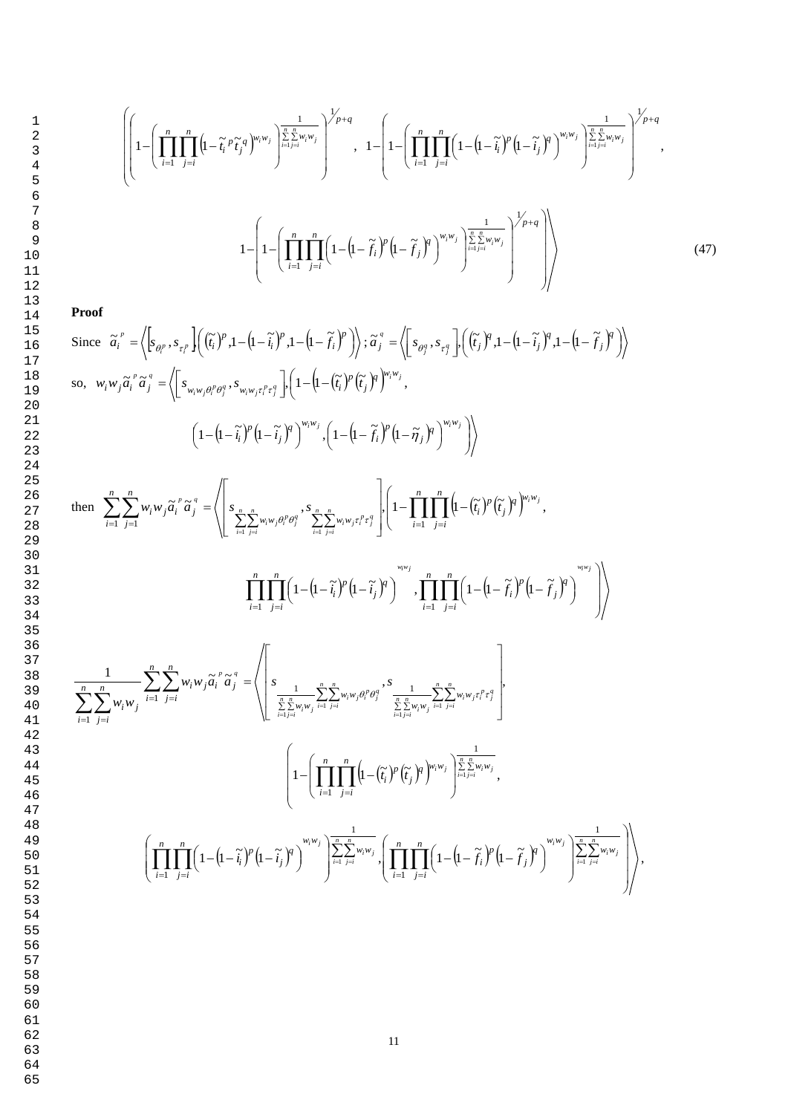$$
\left(\left(1-\left(\prod_{i=1}^{n}\prod_{j=i}^{n}\left(1-\tilde{t}_{i}^{p}\tilde{t}_{j}^{q}\right)^{w_{i}w_{j}}\right)^{\frac{1}{\sum_{i=1}^{n}\sum_{j=i}^{w_{i}w_{j}}}\right)^{1/p+q}, 1-\left(1-\left(\prod_{i=1}^{n}\prod_{j=i}^{n}\left(1-\left(1-\tilde{t}_{i}^{p}\right)^{p}\left(1-\tilde{t}_{j}^{p}\right)^{q}\right)^{w_{i}w_{j}}\right)^{\frac{1}{\sum_{i=1}^{n}\sum_{j=i}^{w_{i}w_{j}}}\right)^{1/p+q},\right)
$$
\n
$$
1-\left(1-\left(\prod_{i=1}^{n}\prod_{j=i}^{n}\left(1-\left(1-\tilde{t}_{i}^{p}\right)^{p}\left(1-\tilde{t}_{j}^{p}\right)^{q}\right)^{w_{i}w_{j}}\right)^{\frac{1}{\sum_{i=1}^{n}\sum_{j=i}^{n}w_{i}w_{j}}\right)^{1/p+q}\right)\right)\tag{47}
$$

**Proof**

 1 2 3

Since 
$$
\tilde{a}'_i = \left\langle \left[ \tilde{c}_{\theta_i^p}, s_{\tau_i^p} \right] \left( (\tilde{t}_i)^p \cdot 1 - (1 - \tilde{t}_i)^p \cdot 1 - (1 - \tilde{t}_i)^p \right) \right\rangle : \tilde{a}''_j = \left\langle \left[ \tilde{c}_{\theta_j^q}, s_{\tau_j^q} \right] \cdot \left( (\tilde{t}_i)^p \cdot 1 - (1 - \tilde{t}_i)^q \cdot 1 - (1 - \tilde{t}_i)^p \right) \right\rangle
$$
  
\nso, 
$$
w_i w_j \tilde{a}_i^{\tau} \tilde{a}_j^{\tau} = \left\langle \left[ s_{w_i w_j \theta_i^p \theta_j^q}, s_{w_i w_j \tau_i^p \tau_j^q} \right] \cdot \left( 1 - (1 - (\tilde{t}_i)^p (\tilde{t}_j)^p)^{w_i w_j}, \left( 1 - (1 - \tilde{t}_i)^p (1 - \tilde{t}_j)^p \right)^{w_i w_j} \right) \right\rangle
$$
  
\nthen 
$$
\sum_{i=1}^n \sum_{j=1}^n w_i w_j \tilde{a}_i^{\tau} \tilde{a}_j^{\tau} = \left\langle \left[ \frac{s_{\frac{x}{\sum_{i,j=1}^n w_i w_j \theta_i^p \theta_j^q}} s_{\frac{x-\frac{x}{\sum_{i,j=1}^n w_i w_j \tau_i^p \tau_i^q}}}{\sum_{i=1}^n \sum_{j=1}^n (1 - (1 - \tilde{t}_i)^p (1 - \tilde{t}_j)^p) \right) \cdot \prod_{i=1}^n \prod_{j=1}^n (1 - (\tilde{t}_i - \tilde{t}_i)^p (1 - \tilde{t}_j)^p) \right\rangle
$$
  
\n
$$
\frac{\prod_{i=1}^n \prod_{j=1}^n (1 - (1 - \tilde{t}_i)^p (1 - \tilde{t}_j)^p) \cdot \prod_{i=1}^n \prod_{j=1}^n (1 - (\tilde{t}_i - \tilde{t}_i)^p (1 - \tilde{t}_j)^p) \right\rangle}{\prod_{i=1}^n \prod_{j=1}^n (1 - (\tilde{t}_i - \tilde{t}_i)^p (1 - \tilde{t}_j)^
$$

- 
- 63
- 64 65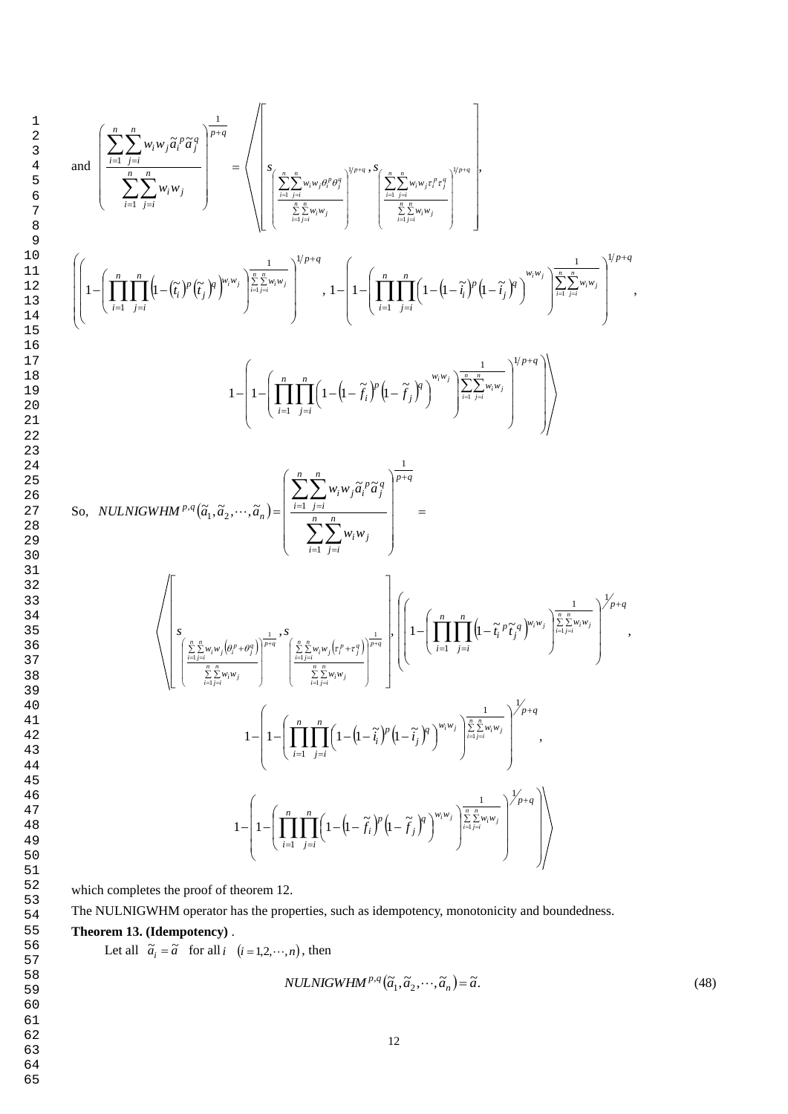$$
\text{and } \left( \frac{\sum_{i=1}^{n} \sum_{j=i}^{n} w_{i} w_{j} \bar{a}_{i}^{p} \bar{a}_{j}^{q}}{\sum_{i=1}^{n} \sum_{j=i}^{n} w_{i} w_{j}} \right)^{\frac{1}{p+q}} = \left\langle \left| \sum_{i=1}^{n} \sum_{j=i}^{n} w_{i} w_{j} e^{i \theta_{i}^{p}} \right|^{q_{i}^{p} \cdot q + \sum_{i=1}^{n} \sum_{j=i}^{n} w_{i} w_{j} e^{i \theta_{i}^{p}}}{\sum_{i=1}^{n} \sum_{j=i}^{n} w_{i} w_{j}} \right|^{q_{i}^{p} \cdot q} \right|
$$
\n
$$
\left( \left| 1 - \left( \prod_{i=1}^{n} \prod_{j=i}^{n} \left( 1 - (\tilde{r}_{i})^{p} (\tilde{r}_{j})^{p} \right)^{w_{i} w_{j}} \right) \frac{\sum_{i=1}^{n} \sum_{j=i}^{n} w_{j} w_{j}}{\sum_{i=1}^{n} \sum_{j=i}^{n} \sum_{j=i}^{n} w_{j} w_{j}} \right|^{q_{i}^{p} \cdot q} \right) \right|^{1/p+q}
$$
\n
$$
1 - \left( 1 - \left( \prod_{i=1}^{n} \prod_{j=i}^{n} \left( 1 - (1 - \tilde{r}_{i})^{p} (1 - \tilde{r}_{j})^{p} \right)^{w_{i} w_{j}} \right) \frac{\sum_{i=1}^{n} \sum_{j=i}^{n} w_{j} w_{j}}{\sum_{i=1}^{n} \sum_{j=i}^{n} \sum_{j=i}^{n} \sum_{j=i}^{n} \sum_{j=i}^{n} \sum_{j=i}^{n} \left( 1 - (1 - \tilde{r}_{i})^{p} (1 - \tilde{r}_{j})^{p} \right)^{w_{i} w_{j}} \right) \right) \right\}^{1/p+q}
$$
\n
$$
\text{So, } NULNIGWHM^{p,q}(\tilde{a}_{1}, \tilde{a}_{2}, \dots, \tilde{a}_{n}) = \left( \frac{\sum_{i=1}^{n} \sum_{j=i}^{n} w_{i} w_{j} \bar{a}_{i}^{p} \bar{a}_{j}^{q}}{\sum_{i=1
$$

which completes the proof of theorem 12.

The NULNIGWHM operator has the properties, such as idempotency, monotonicity and boundedness.

**Theorem 13. (Idempotency)** .

Let all  $\tilde{a}_i = \tilde{a}$  for all *i*  $(i = 1, 2, \dots, n)$ , then

$$
NULLNIGWHM^{p,q}(\tilde{a}_1, \tilde{a}_2, \cdots, \tilde{a}_n) = \tilde{a}.
$$
\n(48)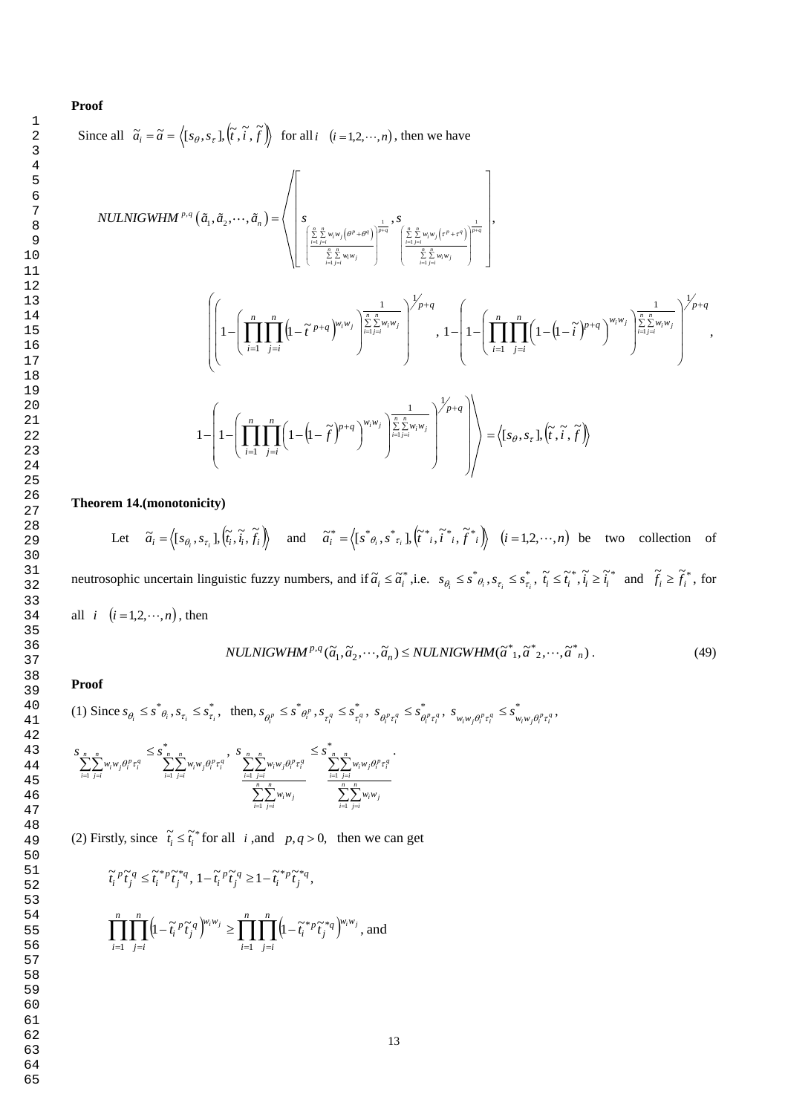Since all 
$$
\tilde{a}_i = \tilde{a} = \langle [s_\theta, s_\tau], (\tilde{t}, \tilde{t}, \tilde{f}) \rangle
$$
 for all  $i$   $(i = 1, 2, \dots, n)$ , then we have\n
$$
NULLNIGWHM^{p,q}(\tilde{a}_1, \tilde{a}_2, \dots, \tilde{a}_n) = \left\langle \begin{bmatrix} \frac{n}{2} & \frac{n}{2}w_iw_j(\theta^p + \theta^q) \\ \frac{n}{2} & \frac{n}{2}w_iw_j(\theta^p + \theta^q) \\ \frac{n}{2} & \frac{n}{2} & \frac{n}{2}w_iw_j(\theta^p + \theta^q) \\ \frac{n}{2} & \frac{n}{2} & \frac{n}{2}w_iw_j(\theta^p + \theta^q) \end{bmatrix}^{\frac{1}{p+q}}, \begin{bmatrix} \frac{n}{2} & \frac{n}{2}w_iw_j(\theta^p + \theta^q) \\ \frac{n}{2} & \frac{n}{2} & \frac{n}{2}w_iw_j(\theta^p + \theta^q) \\ \frac{n}{2} & \frac{n}{2} & \frac{n}{2}w_iw_j(\theta^q + \theta^q) \end{bmatrix}^{\frac{1}{p+q}} \right\}
$$

$$
\left(\left[1-\left(\prod_{i=1}^n\prod_{j=i}^n\left(1-\tilde{t}^{p+q}\right)^{w_iw_j}\right)^{\frac{1}{\sum\limits_{i=1}^n\sum_{j=i}^n w_iw_j}}\right)^{1/p+q},1-\left(1-\left(\prod_{i=1}^n\prod_{j=i}^n\left(1-\left(1-\tilde{t}\right)^{p+q}\right)^{w_iw_j}\right)^{\frac{1}{\sum\limits_{i=1}^n\sum_{j=i}^n w_iw_j}}\right)^{1/p+q},1-\left(1-\left(\prod_{i=1}^n\prod_{j=i}^n\left(1-\left(1-\tilde{t}\right)^{p+q}\right)^{w_iw_j}\right)^{\frac{1}{\sum\limits_{i=1}^n\sum_{j=i}^n w_iw_j}}\right)^{1/p+q}\right)\right) = \left\langle s_\theta,s_\tau\right],\left(\tilde{t},\tilde{t},\tilde{f}\right)\right\rangle
$$

**Theorem 14.(monotonicity)** 

Let  $\tilde{a}_i = \langle [s_{\theta_i}, s_{\tau_i}], (\tilde{t}_i, \tilde{t}_i, f_i] \rangle$  $\widetilde{a}_i = \langle [s_{\theta_i}, s_{\tau_i}], (\widetilde{t}_i, \widetilde{t}_i, \widetilde{f}_i) \rangle$  and  $\widetilde{a}_i^* = \langle [s_{\theta_i}, s_{\tau_i}], (\widetilde{t}_{i}, \widetilde{t}_{i}, \widetilde{f}_{i}, \widetilde{f}_{i}^{*}] \rangle$   $(i = 1, 2, \dots, n)$  be two collection of neutrosophic uncertain linguistic fuzzy numbers, and if  $\tilde{a}_i \leq \tilde{a}_i^*$ , *i.e.*  $s_{\theta_i} \leq s_{\theta_i}^*$ ,  $s_{\tau_i} \leq s_{\tau_i}^*$ ,  $s_{\theta_i} \leq s^*_{\theta_i}, s_{\tau_i} \leq s_{\tau_i}^*, \ \tilde{t}_i \leq \tilde{t}_i^*, \tilde{t}_i \geq \tilde{t}_i^* \text{ and } \ \tilde{f}_i \geq \tilde{f}_i^*, \text{ for }$ all  $i \quad (i = 1, 2, \dots, n)$ , then

 $NULNIGWHM^{p,q}(\tilde{a}_1, \tilde{a}_2, \cdots, \tilde{a}_n) \leq NULNIGWHM(\tilde{a}_{1}, \tilde{a}_{2}, \cdots, \tilde{a}_{n}).$ (49)

## **Proof**

(1) Since  $s_{\theta} \leq s^*_{\theta_i}, s_{\tau_i} \leq s_{\tau_i}^*$ ,  $s_{\theta_i} \leq s^*_{\theta_i}, s_{\tau_i} \leq s^*_{\tau_i}, \text{ then, } s_{\theta_i^p} \leq s^*_{\theta_i^p}, s_{\tau_i^q} \leq s^*_{\tau_i^q},$  $s_{\theta^p_i} \leq s^*_{\theta^p_i}, s_{\tau^q_i} \leq s_{\tau^q_i}^*, \ s_{\theta^p_i \tau^q_i} \leq s_{\theta^p_i \tau^q_i}^*, \ s_{w_i w_j \theta^p_i \tau^q_i} \leq s_{w_i w_j \theta^p_i \tau^q_i}^*,$ 

$$
\sum_{i=1}^{S} \sum_{j=i}^{n} w_i w_j \theta_i^p \tau_i^q \leq \sum_{i=1}^{*} \sum_{j=i}^{n} w_i w_j \theta_i^p \tau_i^q, \sum_{j=1}^{S} \sum_{j=i}^{n} w_i w_j \theta_i^p \tau_i^q \leq \sum_{i=1}^{*} \sum_{j=i}^{n} \sum_{j=i}^{n} w_i w_j \theta_i^p \tau_i^q \cdot \sum_{i=1}^{n} \sum_{j=i}^{n} w_i w_j \tau_i^q
$$

(2) Firstly, since  $\tilde{t}_i \leq \tilde{t}_i^*$  for all *i*, and *p*, *q* > 0, then we can get

$$
\widetilde{t_i}^p \widetilde{t_j}^q \leq \widetilde{t_i}^{*p} \widetilde{t_j}^{*q}, \, 1-\widetilde{t_i}^p \widetilde{t_j}^q \geq 1-\widetilde{t_i}^{*p} \widetilde{t_j}^{*q},
$$

$$
\prod_{i=1}^n \prod_{j=i}^n \left(1 - \widetilde{t}_i^p \widetilde{t}_j^q\right)^{w_i w_j} \ge \prod_{i=1}^n \prod_{j=i}^n \left(1 - \widetilde{t}_i^{*p} \widetilde{t}_j^{*q}\right)^{w_i w_j},
$$
 and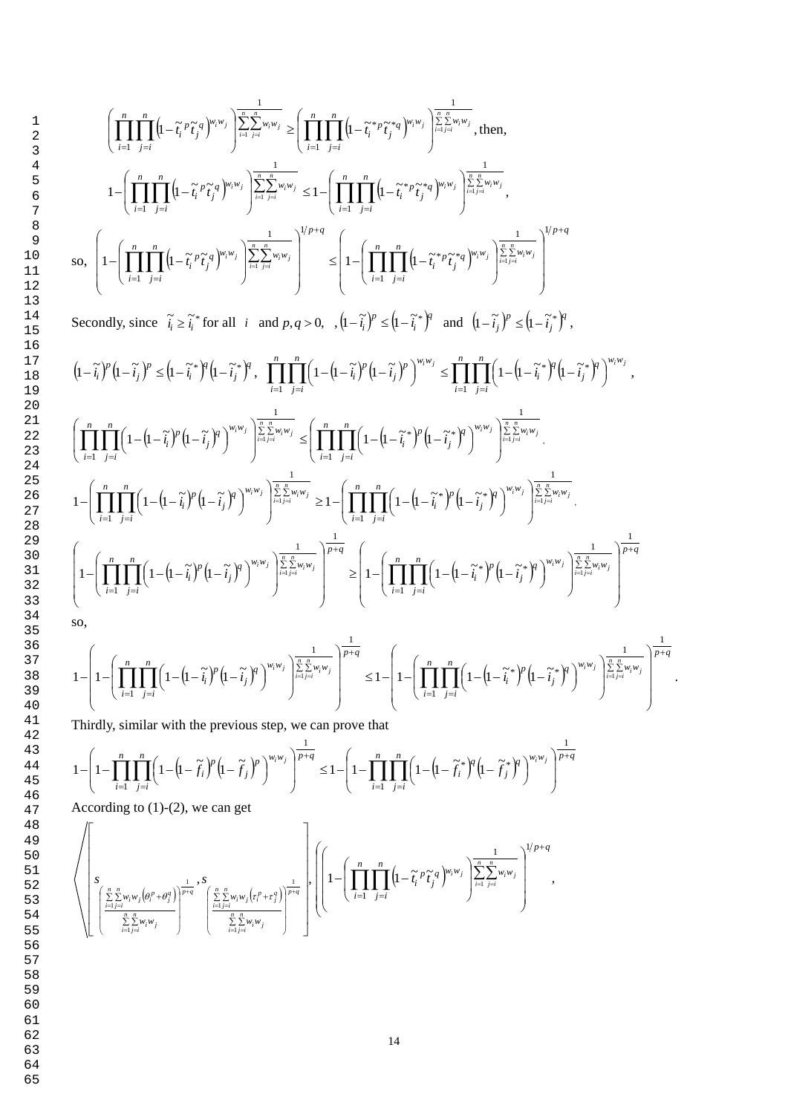$$
\left(\prod_{i=1}^{n} \prod_{j=i}^{n} \left(1-\tilde{t}_{i}^{p} \tilde{t}_{j}^{q}\right)^{w_{i}w_{j}}\right) \sum_{i=1}^{n} \sum_{j=i}^{n} w_{i}w_{j} \geq \left(\prod_{i=1}^{n} \prod_{j=i}^{n} \left(1-\tilde{t}_{i}^{*p} \tilde{t}_{j}^{*q}\right)^{w_{i}w_{j}}\right) \sum_{i=1}^{n} \sum_{j=i}^{n} w_{i}w_{j},
$$
 then,  

$$
1-\left(\prod_{i=1}^{n} \prod_{j=i}^{n} \left(1-\tilde{t}_{i}^{p} \tilde{t}_{j}^{q}\right)^{w_{i}w_{j}}\right) \sum_{i=1}^{n} \sum_{j=i}^{n} w_{i}w_{j} \leq 1-\left(\prod_{i=1}^{n} \prod_{j=i}^{n} \left(1-\tilde{t}_{i}^{*p} \tilde{t}_{j}^{*q}\right)^{w_{i}w_{j}}\right) \sum_{i=1}^{n} \sum_{j=i}^{n} w_{i}w_{j},
$$
so,  

$$
\left(1-\left(\prod_{i=1}^{n} \prod_{j=i}^{n} \left(1-\tilde{t}_{i}^{p} \tilde{t}_{j}^{q}\right)^{w_{i}w_{j}}\right) \sum_{i=1}^{n} \sum_{j=i}^{n} w_{i}w_{j}}\right)^{1/p+q} \leq \left(1-\left(\prod_{i=1}^{n} \prod_{j=i}^{n} \left(1-\tilde{t}_{i}^{*p} \tilde{t}_{j}^{*q}\right)^{w_{i}w_{j}}\right) \sum_{i=1}^{n} \sum_{j=i}^{n} w_{i}w_{j}}\right)^{1/p+q}
$$

Secondly, since  $\tilde{i}_i \geq \tilde{i}_i^*$  for all  $i$  and  $p, q > 0$ ,  $\int_0^1 (-\tilde{i}_i)^p \leq (1 - \tilde{i}_i^*)^q$ *i p*  $\left(1-\tilde{t}_i\right)^p \leq \left(1-\tilde{t}_i\right)^q$  and  $\left(1-\tilde{t}_j\right)^p \leq \left(1-\tilde{t}_j\right)^q$ *j p*  $\left(1-\widetilde{i}_j\right)^p \leq \left(1-\widetilde{i}_j^*\right)^q,$ 

$$
(1-\tilde{t}_i)^p (1-\tilde{t}_j)^p \leq (1-\tilde{t}_i)^q (1-\tilde{t}_j)^q, \quad \prod_{i=1}^n \prod_{j=i}^n \left(1- \left(1-\tilde{t}_i\right)^p \left(1-\tilde{t}_j\right)^p\right)^{w_i w_j} \leq \prod_{i=1}^n \prod_{j=i}^n \left(1- \left(1-\tilde{t}_i\right)^q \left(1-\tilde{t}_j\right)^q\right)^{w_i w_j},
$$
\n
$$
\left(\prod_{i=1}^n \prod_{j=i}^n \left(1- \left(1-\tilde{t}_i\right)^p \left(1-\tilde{t}_j\right)^q\right)^{w_i w_j}\right)^{\frac{1}{\sum_{i=1}^n \sum_{j=i}^n w_i w_j}} \leq \left(\prod_{i=1}^n \prod_{j=i}^n \left(1- \left(1-\tilde{t}_i\right)^p \left(1-\tilde{t}_j\right)^q\right)^{w_i w_j}\right)^{\frac{1}{\sum_{i=1}^n \sum_{j=i}^n w_i w_j}}.
$$
\n
$$
1-\left(\prod_{i=1}^n \prod_{j=i}^n \left(1- \left(1-\tilde{t}_i\right)^p \left(1-\tilde{t}_j\right)^q\right)^{w_i w_j}\right)^{\frac{1}{\sum_{i=1}^n \sum_{j=i}^n w_i w_j}} \geq 1-\left(\prod_{i=1}^n \prod_{j=i}^n \left(1- \left(1-\tilde{t}_i\right)^p \left(1-\tilde{t}_j\right)^q\right)^{w_i w_j}\right)^{\frac{1}{\sum_{i=1}^n \sum_{j=i}^n w_i w_j}}.
$$
\n
$$
1-\left(\prod_{i=1}^n \prod_{j=i}^n \left(1- \left(1-\tilde{t}_i\right)^p \left(1-\tilde{t}_j\right)^q\right)^{w_i w_j}\right)^{\frac{1}{\sum_{i=1}^n \sum_{j=i}^n w_i w_j}} \geq 1-\left(\prod_{i=1}^n \prod_{j=i}^n \left(1- \left(1-\tilde{t}_i\right)^p \left(1-\tilde{t}_j\right)^q\right)^{w_i w_j}\right)^{\frac{1}{\sum_{i=1}^n \sum
$$

so,

$$
1-\left(1-\left(\prod_{i=1}^n\prod_{j=i}^n\left(1-\left(\mathbf{l}-\widetilde{t}_i\right)^p\left(\mathbf{l}-\widetilde{t}_j\right)^q\right)^{w_iw_j}\right)^{\frac{1}{\sum\limits_{i=1}^n\sum\limits_{j=i}^n w_iw_j}}\right)^{\frac{1}{p+q}}\leq 1-\left(1-\left(\prod_{i=1}^n\prod_{j=i}^n\left(1-\left(\mathbf{l}-\widetilde{t}_i^*\right)^p\left(\mathbf{l}-\widetilde{t}_j^*\right)^q\right)^{w_iw_j}\right)^{\frac{1}{\sum\limits_{i=1}^n\sum\limits_{j=i}^n w_iw_j}}\right)^{\frac{1}{p+q}}.
$$

Thirdly, similar with the previous step, we can prove that

$$
1 - \left(1 - \prod_{i=1}^n \prod_{j=i}^n \left(1 - \left(1 - \widetilde{f}_i\right)^p \left(1 - \widetilde{f}_j\right)^p\right)^{w_i w_j}\right)^{\frac{1}{p+q}} \le 1 - \left(1 - \prod_{i=1}^n \prod_{j=i}^n \left(1 - \left(1 - \widetilde{f}_i\right)^p \left(1 - \widetilde{f}_j\right)^p\right)^{w_i w_j}\right)^{\frac{1}{p+q}}
$$

According to (1)-(2), we can get

$$
\left\{\left(\underbrace{\left(\sum_{\substack{i=1 \ i \neq j \\ i \neq j \neq i}}^{n} \underbrace{\sum_{j=1 \ i \neq i}^{n} w_{i} \psi_{j}\left(\theta_{i}^{p} + \theta_{j}^{q}\right)}_{i=1 \ j \neq i}\right) ^{\frac{1}{p+q}} , \underbrace{S}_{\left(\sum_{\substack{i=1 \ i \neq i}}^{n} w_{i} w_{j}\left(\tau_{i}^{p} + \tau_{j}^{q}\right)\right) ^{\frac{1}{p+q}}}_{\text{$i=1 \ j \neq i$}}\right\} , \left(\left(1-\left(\prod_{i=1}^{n} \prod_{j=i}^{n} \left(1-\widetilde{t_{i}}^{p} \widetilde{t_{j}}^{q}\right)^{w_{i} w_{j}}\right)^{\frac{1}{\sum_{i=1}^{n} \sum_{j=i}^{n} w_{i} w_{j}}}\right)^{1/p+q}\right),
$$

 1 2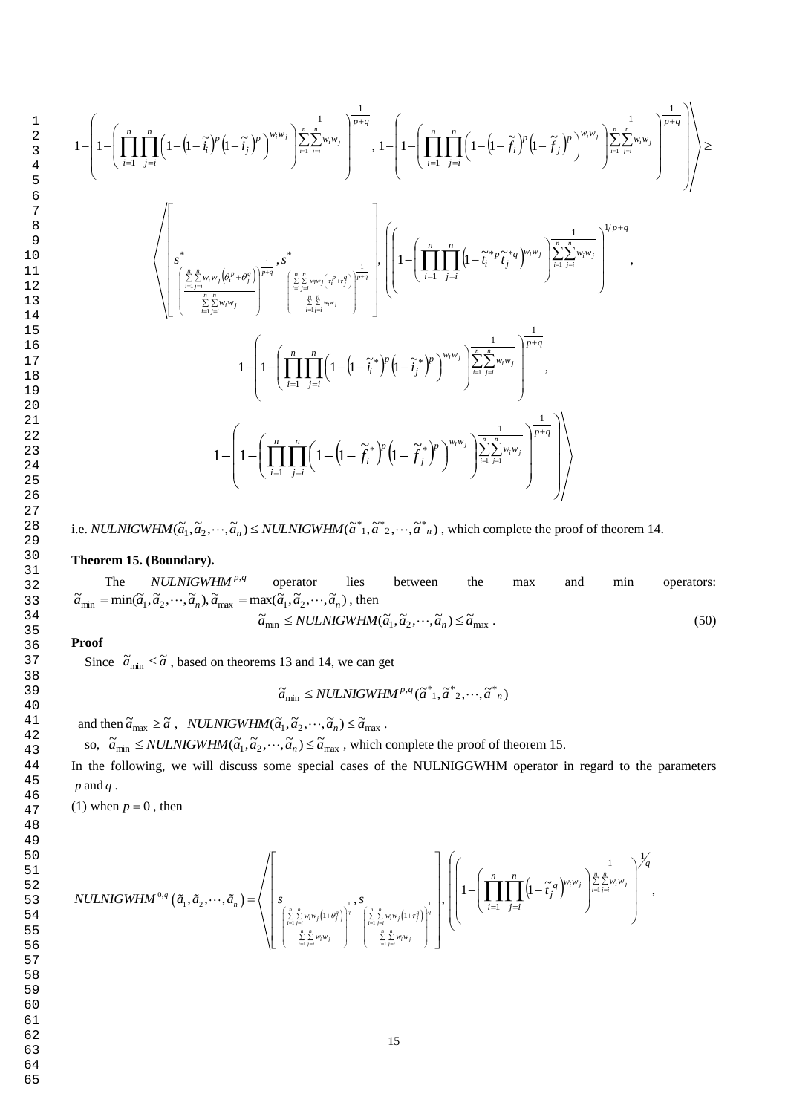64 65

$$
-\left(1-\left(\prod_{i=1}^{n}\prod_{j=i}^{n}\left(1-\left(1-\tilde{i}_{i}^{r}\right)^{p}\left(1-\tilde{i}_{j}^{r}\right)^{p}\right)^{w_{i}w_{j}}\right)\frac{\sum_{i=1}^{n}\sum_{j=i}^{n}w_{i}w_{j}}{\sum_{i=1}^{n}\sum_{j=i}^{n}w_{i}w_{j}}\right)^{1}\right),\ 1-\left(1-\left(\prod_{i=1}^{n}\prod_{j=i}^{n}\left(1-\left(1-\tilde{j}_{i}^{r}\right)^{p}\left(1-\tilde{j}_{j}^{r}\right)^{p}\right)^{w_{i}w_{j}}\right)\frac{\sum_{i=1}^{n}\sum_{j=i}^{n}w_{i}w_{j}}{\sum_{i=1}^{n}\sum_{j=i}^{n}w_{i}w_{j}}\right)^{1/2+q}\right)\right) \geq 0.
$$

i.e. *NULNIGWHM*( $\tilde{a}_1, \tilde{a}_2, \dots, \tilde{a}_n$ )  $\leq$  *NULNIGWHM*( $\tilde{a}^*, \tilde{a}^*, \tilde{a}^*, \dots, \tilde{a}^*, n$ ), which complete the proof of theorem 14.

# **Theorem 15. (Boundary).**

The  $NULNIGWHM<sup>p,q</sup>$ operator lies between the max and min operators:  $\tilde{a}_{\min} = \min(\tilde{a}_1, \tilde{a}_2, \cdots, \tilde{a}_n), \tilde{a}_{\max} = \max(\tilde{a}_1, \tilde{a}_2, \cdots, \tilde{a}_n)$ , then

$$
\widetilde{a}_{\min} \leq NULLNIGWHM(\widetilde{a}_1, \widetilde{a}_2, \cdots, \widetilde{a}_n) \leq \widetilde{a}_{\max} \tag{50}
$$

## **Proof**

 $1 -$ 

 1 2 3

Since  $\tilde{a}_{\text{min}} \leq \tilde{a}$ , based on theorems 13 and 14, we can get

$$
\widetilde{a}_{\min} \leq NULLNIGWHM^{p,q}(\widetilde{a}_{1},\widetilde{a}_{2},\cdots,\widetilde{a}_{n})
$$

and then  $\tilde{a}_{\text{max}} \geq \tilde{a}$ ,  $\text{NULLNIGWHM}(\tilde{a}_1, \tilde{a}_2, \dots, \tilde{a}_n) \leq \tilde{a}_{\text{max}}$ .

so,  $\tilde{a}_{\min} \leq NULLNIGWHM(\tilde{a}_1, \tilde{a}_2, \cdots, \tilde{a}_n) \leq \tilde{a}_{\max}$ , which complete the proof of theorem 15.

In the following, we will discuss some special cases of the NULNIGGWHM operator in regard to the parameters *p* and *q* .

(1) when  $p = 0$ , then

$$
NULLNIGWHM^{0,q}\left(\tilde{a}_1,\tilde{a}_2,\cdots,\tilde{a}_n\right)=\left\langle \left[ s\sum_{\left[\frac{\sum\limits_{i=1}^{n}y_iw_j\left(1+\theta_j^q\right)}{\sum\limits_{i=1}^{n}y_iw_j}\right]^{\frac{1}{q}}},s\right]_s,\left[1-\left(\prod_{i=1}^{n}\prod_{j=i}^{n}\left(1-\tilde{t}_j^q\right)^{w_iw_j}\right)^{\frac{1}{\sum\limits_{i=1}^{n}y_iw_i}}\right)^{1/q},\right]
$$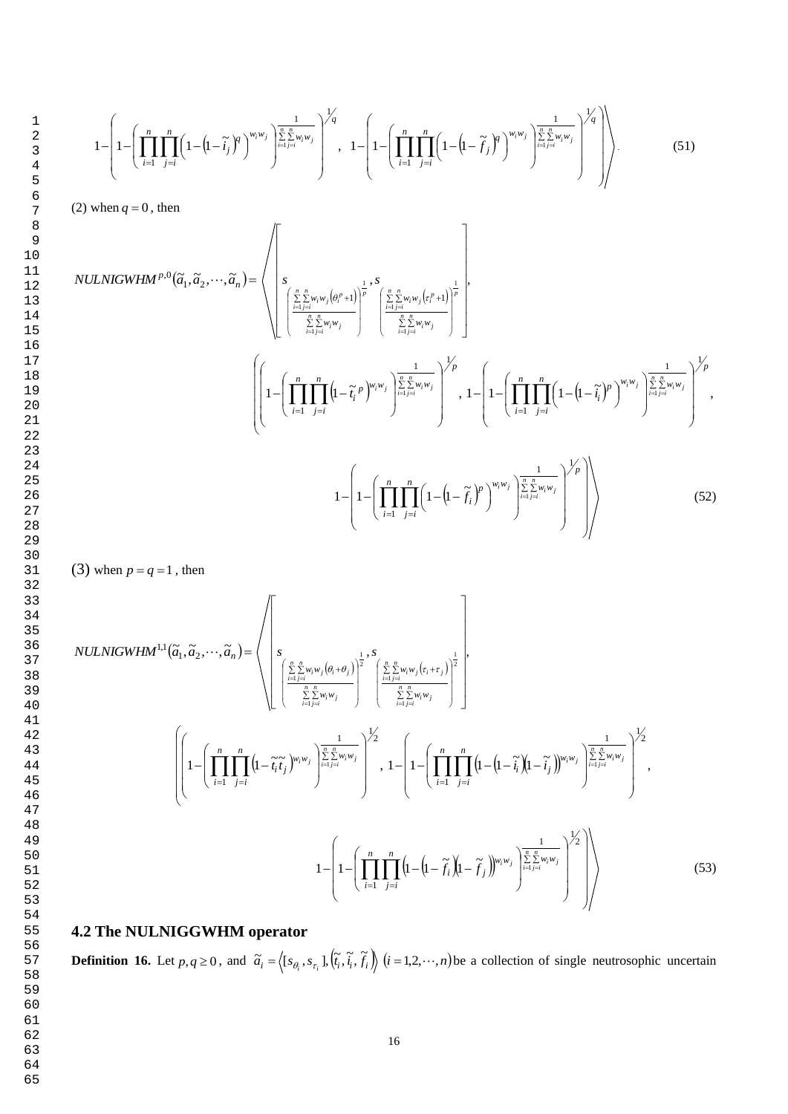$$
1 - \left(1 - \left(\prod_{i=1}^{n} \prod_{j=i}^{n} \left(1 - \left(1 - \widetilde{t}_{j}\right)^{q}\right)^{w_{i}w_{j}}\right)^{\frac{1}{\sum_{i=1}^{n} \sum_{j=i}^{n} w_{i}w_{j}}\right)^{\frac{1}{q}}, \quad 1 - \left(1 - \left(\prod_{i=1}^{n} \prod_{j=i}^{n} \left(1 - \left(1 - \widetilde{f}_{j}\right)^{q}\right)^{w_{i}w_{j}}\right)^{\frac{1}{\sum_{i=1}^{n} \sum_{j=i}^{n} w_{i}w_{j}}\right)^{\frac{1}{q}}\right).
$$
\n(51)

(2) when  $q = 0$ , then

$$
NULLNIGWHM^{p,0}(\tilde{a}_{1},\tilde{a}_{2},\cdots,\tilde{a}_{n}) = \sqrt{\left\{\n\begin{pmatrix}\n\sum_{i=1}^{n} \sum_{j=1}^{n} w_{i}w_{j}(\theta_{i}^{p}+1) \\
\sum_{i=1}^{n} \sum_{j=1}^{n} w_{i}w_{j}(\theta_{i}^{p}+1) \\
\sum_{i=1}^{n} \sum_{j=1}^{n} w_{i}w_{j}\n\end{pmatrix}\n\right\}^{1},\n\left\{\n\left(1-\left(\prod_{i=1}^{n} \prod_{j=1}^{n} \left(1-\tilde{t}_{i}^{p}\right)^{w_{i}w_{j}}\right)^{\frac{1}{\sum_{i=1}^{n} \sum_{j=1}^{n} w_{j}w_{j}}\right)^{1/p},\n\left[1-\left(\prod_{i=1}^{n} \prod_{j=1}^{n} \left(1-\left(1-\tilde{t}_{i}^{p}\right)^{p}\right)^{w_{i}w_{j}}\right)^{\frac{1}{\sum_{i=1}^{n} \sum_{j=1}^{n} w_{j}w_{j}}\n\right)^{1/p},\n\left[1-\left(\prod_{i=1}^{n} \prod_{j=1}^{n} \left(1-\left(1-\tilde{t}_{i}^{p}\right)^{p}\right)^{w_{i}w_{j}}\right)^{\frac{1}{\sum_{i=1}^{n} \sum_{j=1}^{n} w_{j}w_{j}}\n\right)^{1/p},\n\right\}\n\right\}
$$
\n
$$
1-\left(1-\left(\prod_{i=1}^{n} \prod_{j=1}^{n} \left(1-\left(1-\tilde{f}_{i}\right)^{p}\right)^{w_{i}w_{j}}\right)^{\frac{1}{\sum_{i=1}^{n} \sum_{j=1}^{n} w_{j}w_{j}}\n\right)^{1/p}\n\right)\n\right\}
$$
\n(52)

(3) when  $p = q = 1$ , then

$$
NULLNIGWHM^{1,1}(\tilde{a}_{1}, \tilde{a}_{2}, \cdots, \tilde{a}_{n}) = \sqrt{\left[s_{\frac{n}{\sum_{i=1,i=1}^{n} w_{i}w_{j}}(\theta_{i}+\theta_{j})}\right]_{2}^{\frac{1}{2}}, s_{\frac{n}{\sum_{i=1,i=1}^{n} w_{i}w_{j}}(r_{i}+r_{j})} \right]_{2}^{\frac{1}{2}},
$$
\n
$$
\left(\left[1-\left(\prod_{i=1}^{n} \prod_{j=i}^{n} \left(1-\tilde{t}_{i}\tilde{t}_{j}\right)^{w_{i}w_{j}}\right)^{\frac{1}{\sum_{i=1,i=1}^{n} w_{i}w_{j}}}\right)^{\frac{1}{2}}, 1-\left(1-\left(\prod_{i=1}^{n} \prod_{j=i}^{n} \left(1-\left(1-\tilde{t}_{i}\right)\left(1-\tilde{t}_{j}\right)\right)^{w_{i}w_{j}}\right)^{\frac{1}{\sum_{i=1,i=1}^{n} w_{i}w_{j}}}\right)^{\frac{1}{2}}\right),
$$
\n
$$
1-\left(1-\left(\prod_{i=1}^{n} \prod_{j=i}^{n} \left(1-\left(1-\tilde{t}_{i}\right)\left(1-\tilde{t}_{j}\right)\right)^{w_{i}w_{j}}\right)^{\frac{1}{\sum_{i=1,i=1}^{n} w_{i}w_{j}}}\right)^{\frac{1}{2}}\right),
$$
\n
$$
(53)
$$

# **4.2 The NULNIGGWHM operator**

**Definition 16.** Let  $p, q \ge 0$ , and  $\tilde{a}_i = \langle [s_{\theta_i}, s_{\tau_i}], [\tilde{t}_i, \tilde{t}_i, f_i] \rangle$  $\tilde{a}_i = \langle [s_{\theta_i}, s_{\tau_i}], (\tilde{t}_i, \tilde{t}_i), \tilde{f}_i \rangle \rangle$   $(i = 1, 2, \dots, n)$  be a collection of single neutrosophic uncertain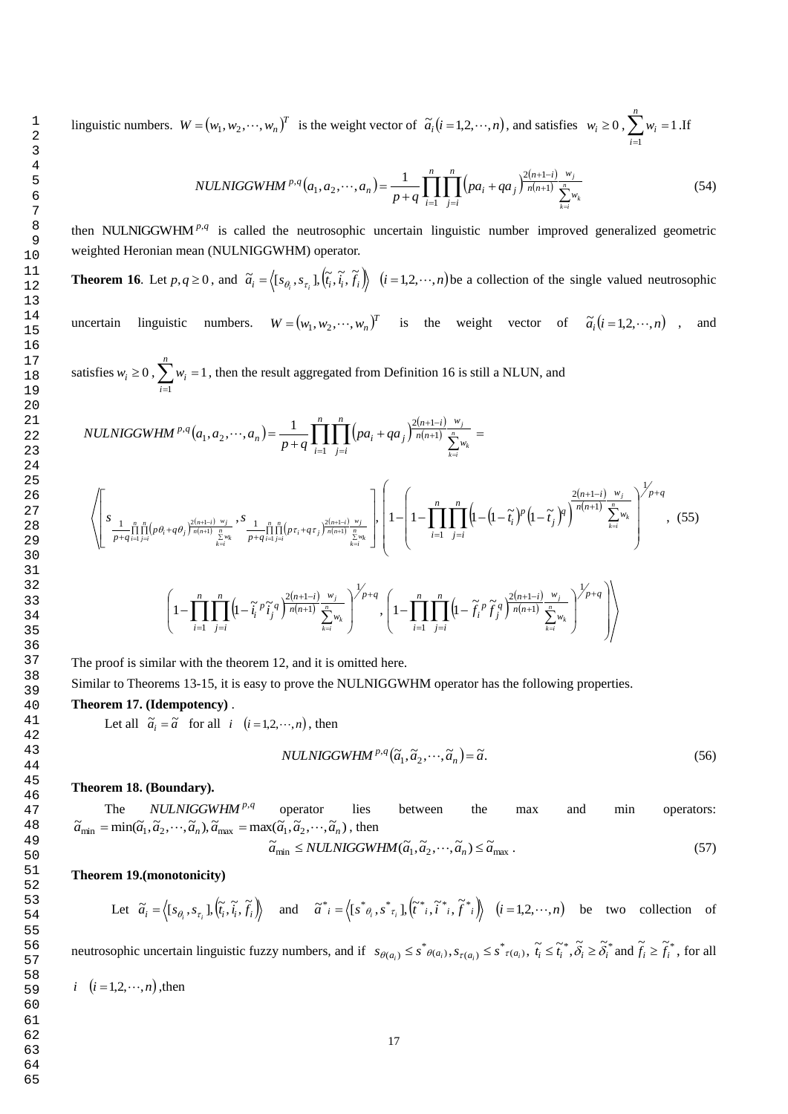linguistic numbers.  $W = (w_1, w_2, \dots, w_n)^T$  is the weight vector of  $\tilde{a}_i (i = 1, 2, \dots, n)$ , and satisfies  $w_i \ge 0$ ,  $\sum_{i=1}^{n} w_i =$ *n i wi* 1 1 .If

$$
NULLNIGGWHM^{p,q}(a_1, a_2, \cdots, a_n) = \frac{1}{p+q} \prod_{i=1}^n \prod_{j=i}^n (pa_i + qa_j)^{\frac{2(n+1-i)}{n(n+1)}} \sum_{k=i}^{\infty} w_k
$$
(54)

then NULNIGGWHM<sup>p,q</sup> is called the neutrosophic uncertain linguistic number improved generalized geometric weighted Heronian mean (NULNIGGWHM) operator.

**Theorem 16**. Let  $p, q \ge 0$ , and  $\tilde{a}_i = \langle [s_{\theta_i}, s_{\tau_i}], [\tilde{t}_i, \tilde{t}_i, \tilde{f}_i] \rangle$  $\tilde{a}_i = \langle [s_{\theta_i}, s_{\tau_i}], (\tilde{t}_i, \tilde{t}_i, \tilde{f}_i) \rangle$   $(i = 1, 2, \dots, n)$  be a collection of the single valued neutrosophic uncertain linguistic numbers.  $W = (w_1, w_2, \dots, w_n)^T$  is the weight vector of  $\tilde{a}_i (i = 1, 2, \dots, n)$ , and

satisfies  $w_i \ge 0$ ,  $\sum_{i=1}^{n} w_i =$ *n i wi* 1 1, then the result aggregated from Definition 16 is still a NLUN, and

$$
NULLNIGGWHM^{p,q}(a_{1}, a_{2}, \cdots, a_{n}) = \frac{1}{p+q} \prod_{i=1}^{n} \prod_{j=i}^{n} (pa_{i} + qa_{j})^{\frac{2(n+1-i)}{n(n+1)}} \sum_{\sum_{k=i}^{n} w_{k}}^{\sum_{k=i}^{n} w_{k}} =
$$
\n
$$
\sqrt{\left[ \sum_{\substack{S_{1} \text{ odd } j \neq i \text{ odd } j \text{ odd } j}}^{\sum_{j=1}^{n} \prod_{j=1}^{n} (p a_{i} + q a_{j})^{\frac{2(n+1-i)}{n(n+1)}} \sum_{\sum_{k=i}^{n} w_{k}}^{\sum_{j=1}^{n} (p a_{i} + q a_{j})^{\frac{2(n+1-i)}{n(n+1)}} \sum_{\sum_{k=i}^{n} w_{k}}} \right] \cdot \left[ 1 - \left[ 1 - \prod_{i=1}^{n} \prod_{j=i}^{n} (1 - (1 - \tilde{t}_{i})^{p} (1 - \tilde{t}_{j})^{q})^{\frac{2(n+1-i)}{n(n+1)}} \sum_{\sum_{k=i}^{n} w_{k}}^{\sum_{j=i}^{n} (n+1-i)} \right] \cdot (55) \right]
$$
\n
$$
\left( 1 - \prod_{i=1}^{n} \prod_{j=i}^{n} (1 - \tilde{t}_{i}^{p} \tilde{t}_{j}^{q})^{\frac{2(n+1-i)}{n(n+1)}} \sum_{\sum_{k=i}^{n} w_{k}}^{\sum_{j=i}^{n} (n+1-i)} \cdot \left( 1 - \prod_{i=1}^{n} \prod_{j=i}^{n} (1 - \tilde{t}_{i}^{p} \tilde{t}_{j}^{q})^{\frac{2(n+1-i)}{n(n+1)}} \sum_{\sum_{k=i}^{n} w_{k}}^{\sum_{j=i}^{n} (n+1-i)} \right) \right)
$$

The proof is similar with the theorem 12, and it is omitted here.

Similar to Theorems 13-15, it is easy to prove the NULNIGGWHM operator has the following properties.

## **Theorem 17. (Idempotency)** .

Let all  $\tilde{a}_i = \tilde{a}$  for all  $i \ (i = 1, 2, \dots, n)$ , then

$$
NULLNIGGWHM^{p,q}(\tilde{a}_1, \tilde{a}_2, \cdots, \tilde{a}_n) = \tilde{a}.
$$
\n(56)

#### **Theorem 18. (Boundary).**

The  $NULNIGGWHM<sup>p,q</sup>$ operator lies between the max and min operators:  $\tilde{a}_{\min} = \min(\tilde{a}_1, \tilde{a}_2, \cdots, \tilde{a}_n), \tilde{a}_{\max} = \max(\tilde{a}_1, \tilde{a}_2, \cdots, \tilde{a}_n)$ , then

$$
\widetilde{a}_{\min} \leq NULLNIGGWHM(\widetilde{a}_1, \widetilde{a}_2, \cdots, \widetilde{a}_n) \leq \widetilde{a}_{\max} \,. \tag{57}
$$

**Theorem 19.(monotonicity)** 

Let 
$$
\tilde{a}_i = \langle [s_{\theta_i}, s_{\tau_i}], (\tilde{t}_i, \tilde{t}_i, \tilde{f}_i) \rangle
$$
 and  $\tilde{a}^*_{i} = \langle [s^*_{\theta_i}, s^*_{\tau_i}], (\tilde{t}^*_{i}, \tilde{t}^*_{i}, \tilde{f}^*_{i}) \rangle$   $(i = 1, 2, \dots, n)$  be two collection of

neutrosophic uncertain linguistic fuzzy numbers, and if  $s_{\theta(a_i)} \leq s^*_{\theta(a_i)}$ ,  $s_{\tau(a_i)} \leq s^*_{\tau(a_i)}$ ,  $\tilde{t}_i \leq \tilde{t}_i^*$ ,  $\tilde{\delta}_i \geq \tilde{\delta}_i^*$  and  $\tilde{f}_i \geq \tilde{f}_i^*$ , for all  $i \quad (i = 1, 2, \cdots, n)$ , then

$$
17\\
$$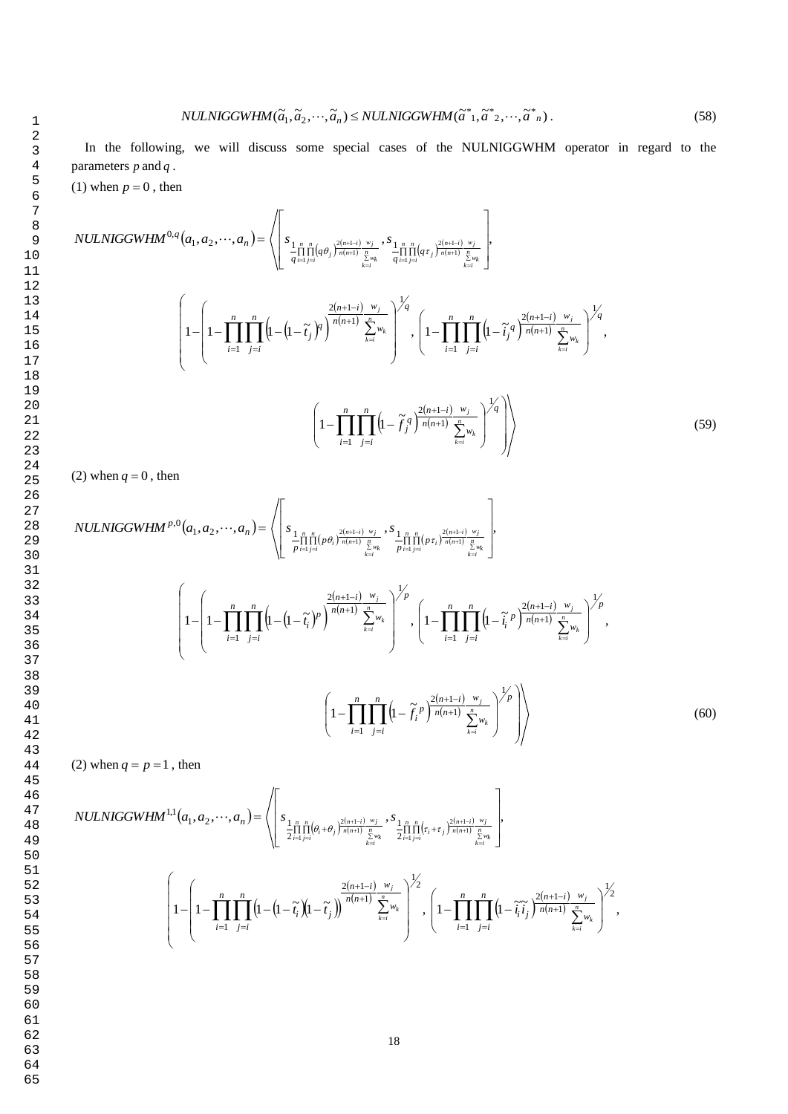1  
\n1  
\n2  
\n3  
\n4  
\n5  
\n6  
\n6  
\n7  
\n8  
\n9  
\n*NULNIGGWHM(
$$
\tilde{a}_1, \tilde{a}_2, ..., \tilde{a}_n
$$
)  $\leq NULNIGGWHM( $\tilde{a}^*, \tilde{a}^*, 2, ..., \tilde{a}_n$ )  
\n10  
\n11  
\n12  
\n13  
\n14  
\n15  
\n16  
\n17  
\n18  
\n19  
\n20  
\n20  
\n
$$
\left( \int_{\tilde{a}_{i-1}}^{\tilde{a}_{i-1}} \prod_{j=i}^{n} (a_{j})^{\frac{2(n+1)}{n(n+1)}} \sum_{\tilde{b}_{i}}^{w_{j}} s_{\tilde{b}_{i}}^{\frac{2(n+1)}{n(n+1)}} \sum_{\tilde{b}_{i}}^{w_{\tilde{b}_{i}}}
$$
\n12  
\n13  
\n14  
\n15  
\n16  
\n17  
\n18  
\n19  
\n20  
\n21  
\n
$$
\left( 1 - \left( 1 - \prod_{i=1}^{n} \prod_{j=i}^{n} \left( 1 - \left( 1 - \tilde{t}_{j} \right)^{q} \right)^{\frac{2(n+1)}{n(n+1)}} \sum_{\tilde{k}=i}^{w_{\tilde{k}}} w_{\tilde{k}} \right)^{\frac{1}{q}} , \left( 1 - \prod_{i=1}^{n} \prod_{j=i}^{n} \left( 1 - \tilde{t}_{j}^{\tilde{q}} \right)^{2} \right)^{\frac{1}{q}}
$$
\n19$* 

$$
\left(1 - \prod_{i=1}^{n} \prod_{j=i}^{n} \left(1 - \widetilde{f}_{j}^{q} \right)^{\frac{2(n+1-i)}{n(n+1)} \sum_{k=i}^{w_{j}} w_{k}}\right)^{\frac{1}{q}}\right) \tag{59}
$$

 $(n+1-i)$ 

 $^{+}$  $+1-$ 

*n n*  $\sum_{j} q \sqrt{\frac{2(n+1-i)}{n(n+1)}} \frac{n}{\sum_{j}^{n}}$ 

1 *n n*  $\sqrt{2(n+1-i)}$  *w*<sub>j</sub>  $\sqrt{q}$ 

 $\left\{\widetilde{i}_j^q\right\}^{\frac{2(n+1-i)}{n(n+1)}\frac{w_j}{\sum_{k=1}^{n}w_k}}$ 

1

 $\overline{\phantom{a}}$  $\big)$ 

 $\setminus$ 

*w w*

 $\sum_{k=i}^{N_k}$ 

 $\sum_{k=i}$ 

 $1-\prod_{i=1}^n\prod_{i=1}^n\left(1-\widetilde{t}_i^q\right)^{\frac{2(n+1-i)}{n(n+1)}\frac{w_j}{\widetilde{N}_{\text{univ}}}}\Big|^{1/q},$ 

 $\overline{\phantom{a}}$  $\overline{\phantom{a}}$ 

 $\overline{\phantom{a}}$ 

 $\overline{\phantom{a}}$ 

 $\sum_{k=i} w_k$  $\frac{n(n+1-i)}{n(n+1)} \frac{w_j}{n}$ 

*n*

*j i*

(2) when  $q = 0$ , then

$$
NULLNIGGWHM^{p,0}(a_1, a_2, \cdots, a_n) = \left\langle \left[ s_{\frac{1}{p} \prod_{i=1}^{n} \prod_{j=1}^{n} (p \theta_i)^{\frac{2(n+1-i)}{n(n+1)} \sum_{k=i}^{w} y_k} - \prod_{j=1}^{n} \prod_{j=1}^{n} (p \tau_i)^{\frac{2(n+1-i)}{n(n+1)} \sum_{k=i}^{w} y_k}} \right], \left[ 1 - \left( 1 - \prod_{i=1}^{n} \prod_{j=i}^{n} \left( 1 - \left( 1 - \tilde{t}_i \right)^p \right)^{\frac{2(n+1-i)}{n(n+1)} \sum_{k=i}^{w} w_k}} \right)^{1/p}, \left[ 1 - \prod_{i=1}^{n} \prod_{j=i}^{n} \left( 1 - \tilde{t}_i^p \right)^{\frac{2(n+1-i)}{n(n+1)} \sum_{k=i}^{w} w_k}} \right)^{1/p}, \left[ 1 - \prod_{i=1}^{n} \prod_{j=i}^{n} \left( 1 - \tilde{t}_i^p \right)^{\frac{2(n+1-i)}{n(n+1)} \sum_{k=i}^{w} w_k}} \right)^{1/p}, \left[ 1 - \prod_{i=1}^{n} \prod_{j=i}^{n} \left( 1 - \tilde{t}_i^p \right)^{\frac{2(n+1-i)}{n(n+1)} \sum_{k=i}^{w} w_k}} \right)^{1/p} \right] \right\rangle
$$
(60)

(2) when  $q = p = 1$ , then

$$
NULLNIGGWHM^{1,1}(a_1, a_2, \cdots, a_n) = \sqrt{\left[s_{\frac{1}{2}\prod_{i=1}^{n} \prod_{j=i}^{n} (\theta_i + \theta_j)^{\frac{2(n+1-i)}{n} \frac{w_j}{\sum_{k=i}^{n} v_k}} s_{\frac{1}{2}\prod_{i=1}^{n} \prod_{j=i}^{n} (r_i + r_j)^{\frac{2(n+1-i)}{n} \frac{w_j}{\sum_{k=i}^{n} v_k}}}\right],
$$
  

$$
\left(1 - \left(1 - \prod_{i=1}^{n} \prod_{j=i}^{n} \left(1 - \left(1 - \tilde{r}_i\right)\left(1 - \tilde{r}_j\right)\right)^{\frac{2(n+1-i)}{n(n+1)} \sum_{k=i}^{n} w_k}}\right)^{\frac{1}{2}} , \left(1 - \prod_{i=1}^{n} \prod_{j=i}^{n} \left(1 - \tilde{r}_i\tilde{r}_j\right)^{\frac{2(n+1-i)}{n(n+1)} \sum_{k=i}^{n} w_k}}\right)^{\frac{1}{2}} ,
$$

61 62

63

64

65

 $rac{+1}{n+1}$ 

1

 $\left(1-\prod_{i=1}^n\prod_{j=i}^n\left(1-\right)\right)$ 

*i*

 $\overline{\phantom{a}}$ I l

 $\prod_{j=i} (q \tau_j) n(n+1) \sum_{j=i}^n$ 

special cases of the NULNIGGWHM operator in regard to the

*i n*

1

 $\overline{\phantom{a}}$  $\overline{\phantom{a}}$  $\overline{\phantom{a}}$ 

*w w*

 $\sum_{k=i}^{N_k}$ *j*

 $\backslash$ 

J

 $\sum_{i=1}^{n}$  -1111(*q* $\tau_j$ 

 $\frac{(-1-i)^{n}w_j}{n+1}$ ,  $\frac{n}{n}$ 

 $\sum_{k=i} w_k$ 

 $(n+1-i)$  $(n+1)$ 

*n n*  $\frac{n+1-i}{n+1}$ 

 $+1-$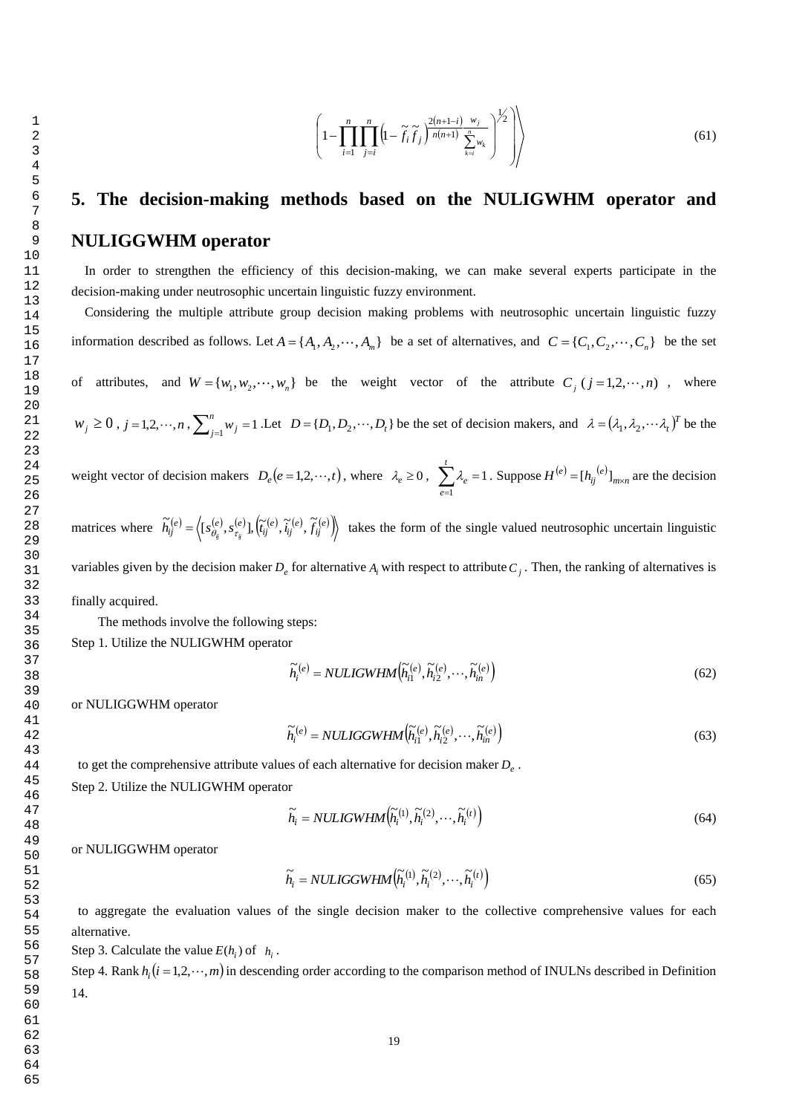$$
\left(1-\prod_{i=1}^{n}\prod_{j=i}^{n}\left(1-\widetilde{f}_{i}\widetilde{f}_{j}\right)^{\frac{2(n+1-i)}{n(n+1)}\frac{w_{j}}{\sum\limits_{k=i}^{n}w_{k}}\right)^{1/2}\right)\right)\tag{61}
$$

# **5. The decision-making methods based on the NULIGWHM operator and NULIGGWHM operator**

 In order to strengthen the efficiency of this decision-making, we can make several experts participate in the decision-making under neutrosophic uncertain linguistic fuzzy environment.

 Considering the multiple attribute group decision making problems with neutrosophic uncertain linguistic fuzzy information described as follows. Let  $A = \{A_1, A_2, \dots, A_m\}$  be a set of alternatives, and  $C = \{C_1, C_2, \dots, C_n\}$  be the set of attributes, and  $W = \{w_1, w_2, \dots, w_n\}$  be the weight vector of the attribute  $C_j$  ( $j = 1, 2, \dots, n$ ), where  $w_j \ge 0$ ,  $j = 1, 2, \dots, n$ ,  $\sum_{j=1}^n w_j = 1$ *n*  $j_{j=1}^{n}$  *w*<sub>*j*</sub> = 1. Let  $D = \{D_1, D_2, \dots, D_t\}$  be the set of decision makers, and  $\lambda = (\lambda_1, \lambda_2, \dots, \lambda_t)^T$  be the weight vector of decision makers  $D_e(e=1,2,\dots,t)$ , where  $\lambda_e \ge 0$ ,  $\sum_{e} \lambda_e = 1$  $\sum_{e=1}^{1} \lambda_e =$ *t e*  $\lambda_e = 1$ . Suppose  $H^{(e)} = [h_{ij}^{(e)}]_{m \times n}$  are the decision matrices where  $\tilde{h}_{ij}^{(e)} = \left\langle [s_{\theta_{ij}}^{(e)}, s_{\tau_{ij}}^{(e)}], \left(\tilde{t}_{ij}^{(e)}, \tilde{t}_{ij}^{(e)}, \tilde{f}_{ij}^{(e)}\right) \right\rangle$  $\widetilde{h}_{ii}^{(e)} = \langle [s_{\beta}^{(e)}, s_{\tau}^{(e)}], [\widetilde{t}_{ii}^{(e)}, \widetilde{i}_{ii}^{(e)}, \widetilde{f}_{ii}]$  $t=\langle [s_{\theta_{\varepsilon}}^{(e)}, s_{\tau_{\varepsilon}}^{(e)}], [\tilde{t}_{ij}^{(e)}, \tilde{t}_{ij}^{(e)}, f_{ij}^{(e)}] \rangle$  takes the form of the single valued neutrosophic uncertain linguistic variables given by the decision maker  $D_e$  for alternative  $A_i$  with respect to attribute  $C_j$ . Then, the ranking of alternatives is finally acquired. The methods involve the following steps: Step 1. Utilize the NULIGWHM operator  $\widetilde{h}_i^{(e)} = NULLGWHM\left(\widetilde{h}_{i1}^{(e)}, \widetilde{h}_{i2}^{(e)}, \cdots, \widetilde{h}_{in}^{(e)}\right)$ (62)

or NULIGGWHM operator

$$
\widetilde{h}_i^{(e)} = NULLGGWHM\Big(\widetilde{h}_{i1}^{(e)}, \widetilde{h}_{i2}^{(e)}, \cdots, \widetilde{h}_{in}^{(e)}\Big) \tag{63}
$$

to get the comprehensive attribute values of each alternative for decision maker *De* .

Step 2. Utilize the NULIGWHM operator

$$
\widetilde{h}_i = NULLGWHM\left(\widetilde{h}_i^{(1)}, \widetilde{h}_i^{(2)}, \cdots, \widetilde{h}_i^{(t)}\right)
$$
\n(64)

or NULIGGWHM operator

$$
\widetilde{h}_i = NULLGGWHM\Big(\widetilde{h}_i^{(1)}, \widetilde{h}_i^{(2)}, \cdots, \widetilde{h}_i^{(t)}\Big) \tag{65}
$$

to aggregate the evaluation values of the single decision maker to the collective comprehensive values for each alternative.

Step 3. Calculate the value  $E(h_i)$  of  $h_i$ .

Step 4. Rank  $h_i$   $(i = 1, 2, \dots, m)$  in descending order according to the comparison method of INULNs described in Definition 14.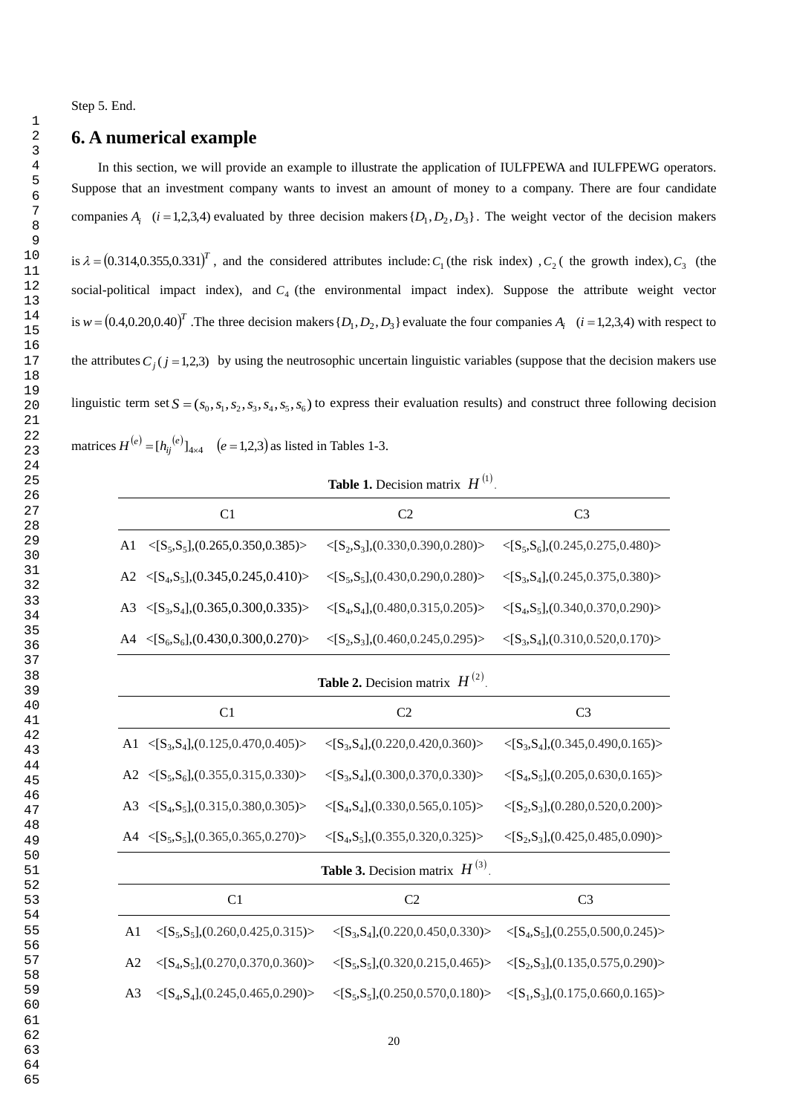Step 5. End.

# **6. A numerical example**

In this section, we will provide an example to illustrate the application of IULFPEWA and IULFPEWG operators. Suppose that an investment company wants to invest an amount of money to a company. There are four candidate companies  $A_i$  (*i* = 1,2,3,4) evaluated by three decision makers  $\{D_1, D_2, D_3\}$ . The weight vector of the decision makers

is  $\lambda = (0.314, 0.355, 0.331)^T$ , and the considered attributes include:  $C_1$  (the risk index),  $C_2$  (the growth index),  $C_3$  (the social-political impact index), and  $C_4$  (the environmental impact index). Suppose the attribute weight vector is  $w = (0.4, 0.20, 0.40)^T$ . The three decision makers  $\{D_1, D_2, D_3\}$  evaluate the four companies  $A_i$   $(i = 1, 2, 3, 4)$  with respect to the attributes  $C_j$  ( $j = 1,2,3$ ) by using the neutrosophic uncertain linguistic variables (suppose that the decision makers use linguistic term set  $S = (s_0, s_1, s_2, s_3, s_4, s_5, s_6)$  to express their evaluation results) and construct three following decision matrices  $H^{(e)} = [h_{ij}^{(e)}]_{4 \times 4}$   $(e = 1,2,3)$  as listed in Tables 1-3.

**Table 1.** Decision matrix  $H^{(1)}$ .

| C <sub>1</sub>                                                                     | C <sub>2</sub>                                     | C <sub>3</sub>                                     |  |  |
|------------------------------------------------------------------------------------|----------------------------------------------------|----------------------------------------------------|--|--|
| $\langle S_5, S_5], (0.265, 0.350, 0.385) \rangle$<br>A1                           | $\langle S_2, S_3], (0.330, 0.390, 0.280) \rangle$ | $\langle S_5, S_6], (0.245, 0.275, 0.480) \rangle$ |  |  |
| $\langle S_4, S_5], (0.345, 0.245, 0.410) \rangle$<br>A2                           | $\langle S_5, S_5], (0.430, 0.290, 0.280) \rangle$ | $\langle S_3, S_4], (0.245, 0.375, 0.380) \rangle$ |  |  |
| $\langle$ [S <sub>3</sub> ,S <sub>4</sub> ],(0.365,0.300,0.335)><br>A <sub>3</sub> | $\langle S_4, S_4], (0.480, 0.315, 0.205) \rangle$ | $\langle S_4, S_5], (0.340, 0.370, 0.290) \rangle$ |  |  |
| A4 $\langle$ [S <sub>6</sub> ,S <sub>6</sub> ],(0.430,0.300,0.270)>                | $\langle S_2, S_3], (0.460, 0.245, 0.295) \rangle$ | $\langle S_3, S_4], (0.310, 0.520, 0.170) \rangle$ |  |  |
| <b>Table 2.</b> Decision matrix $H^{(2)}$ .                                        |                                                    |                                                    |  |  |
| C <sub>1</sub>                                                                     | C <sub>2</sub>                                     | C <sub>3</sub>                                     |  |  |
| $\langle$ [S <sub>3</sub> ,S <sub>4</sub> ],(0.125,0.470,0.405)><br>A1             | $\langle S_3, S_4], (0.220, 0.420, 0.360) \rangle$ | $\langle S_3, S_4], (0.345, 0.490, 0.165) \rangle$ |  |  |
| A2 $\langle$ [S <sub>5</sub> ,S <sub>6</sub> ],(0.355,0.315,0.330)>                | $\langle S_3, S_4], (0.300, 0.370, 0.330) \rangle$ | $\langle S_4, S_5], (0.205, 0.630, 0.165) \rangle$ |  |  |
| $\langle S_4, S_5], (0.315, 0.380, 0.305) \rangle$<br>A3                           | $\langle S_4, S_4], (0.330, 0.565, 0.105) \rangle$ | $\langle S_2, S_3], (0.280, 0.520, 0.200) \rangle$ |  |  |
| A4 $\langle$ [S <sub>5</sub> ,S <sub>5</sub> ],(0.365,0.365,0.270)>                | $\langle S_4, S_5], (0.355, 0.320, 0.325) \rangle$ | $\langle S_2, S_3], (0.425, 0.485, 0.090) \rangle$ |  |  |
| <b>Table 3.</b> Decision matrix $H^{(3)}$ .                                        |                                                    |                                                    |  |  |
| C1                                                                                 | C <sub>2</sub>                                     | C <sub>3</sub>                                     |  |  |
| A <sub>1</sub><br>$\langle S_5, S_5], (0.260, 0.425, 0.315) \rangle$               | $\langle S_3, S_4], (0.220, 0.450, 0.330) \rangle$ | $\langle S_4, S_5], (0.255, 0.500, 0.245) \rangle$ |  |  |
| $\langle S_4, S_5], (0.270, 0.370, 0.360) \rangle$<br>A <sub>2</sub>               | $\langle S_5, S_5], (0.320, 0.215, 0.465) \rangle$ | $\langle S_2, S_3], (0.135, 0.575, 0.290) \rangle$ |  |  |
| A <sub>3</sub><br>$\langle S_4, S_4], (0.245, 0.465, 0.290) \rangle$               | $\langle S_5, S_5], (0.250, 0.570, 0.180) \rangle$ | $\langle S_1, S_3], (0.175, 0.660, 0.165) \rangle$ |  |  |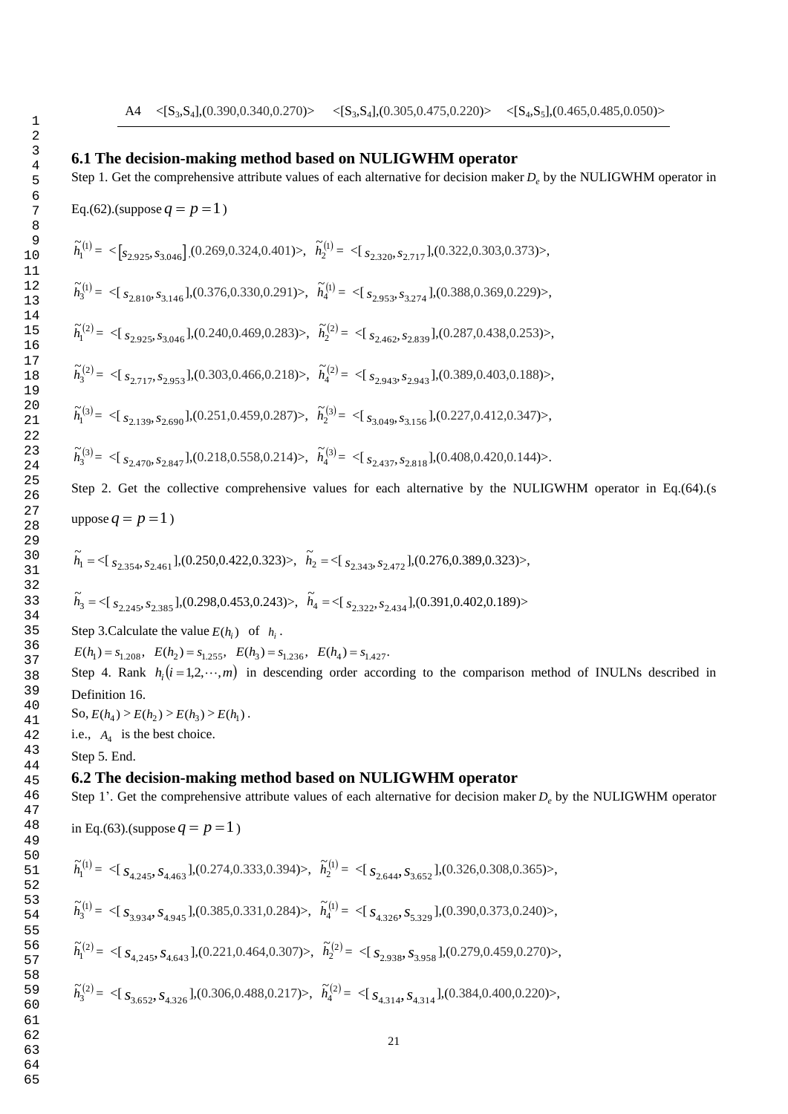## **6.1 The decision-making method based on NULIGWHM operator**

Step 1. Get the comprehensive attribute values of each alternative for decision maker *De* by the NULIGWHM operator in

Eq.(62).(suppose  $q = p = 1$ )

$$
\widetilde{h}^{(l)}_1 = \ \leq [\mathfrak{s}_{2.925},\mathfrak{s}_{3.046}] \ (0.269, 0.324, 0.401)>, \quad \widetilde{h}^{(l)}_2 = \ \leq [\ \mathfrak{s}_{2.320},\mathfrak{s}_{2.717}], (0.322, 0.303, 0.373)>,
$$

 $\binom{1}{3}$  $\widetilde{h}_3^{(1)} = \langle [s_{2.810}, s_{3.146}], (0.376, 0.330, 0.291] \rangle, \ \widetilde{h}_4^{(1)}$  $\widetilde{h}_4^{(1)} = \langle [s_{2.953}, s_{3.274}], (0.388, 0.369, 0.229] \rangle$ ,

 $\zeta_1^{(2)}$  $\widetilde{h}_1^{(2)} = \langle [s_{2.925}, s_{3.046}], (0.240, 0.469, 0.283] \rangle, \ \widetilde{h}_2^{(2)}$  $\widetilde{h}_2^{(2)} = \langle [s_{2.462}, s_{2.839}], (0.287, 0.438, 0.253] \rangle$ 

 $\binom{2}{3}$  $\widetilde{h}_3^{(2)} = \langle [s_{2.717}, s_{2.953}], (0.303, 0.466, 0.218) \rangle, \ \widetilde{h}_4^{(2)}$  $\widetilde{h}_4^{(2)} = \langle [s_{2,943}, s_{2,943}], (0.389, 0.403, 0.188) \rangle,$ 

 $\binom{3}{1}$  $\widetilde{h}_1^{(3)} = \langle [s_{2.139}, s_{2.690}], (0.251, 0.459, 0.287] \rangle, \ \widetilde{h}_2^{(3)}$  $\tilde{h}_2^{(3)} = \langle [s_{3,049}, s_{3,156}], (0.227, 0.412, 0.347) \rangle,$ 

$$
\widetilde{h}^{(3)}_3 = \textcolor{black}{<} \textcolor{black}{[}\, s_{2.470}, s_{2.847} \textcolor{black}{]}, \textcolor{black}{(0.218, 0.558, 0.214)} \textcolor{black}{>}, \ \, \widetilde{h}^{(3)}_4 = \textcolor{black}{<} \textcolor{black}{[}\, s_{2.437}, s_{2.818} \textcolor{black}{]}, \textcolor{black}{(0.408, 0.420, 0.144)} \textcolor{black}{>}.
$$

Step 2. Get the collective comprehensive values for each alternative by the NULIGWHM operator in Eq.(64).(s uppose  $q = p = 1$ )

$$
\widetilde{h}_1 = \text{<} \left[ \, s_{2,354}, s_{2,461} \, \right], \text{(0.250,0.422,0.323)} \text{, } \widetilde{h}_2 = \text{<} \left[ \, s_{2,343}, s_{2,472} \, \right], \text{(0.276,0.389,0.323)} \text{,}
$$

$$
\widetilde{h}_3=<[~{s}_{2.245},{s}_{2.385}],(0.298,0.453,0.243)>,~~\widetilde{h}_4=<[~{s}_{2.322},{s}_{2.434}],(0.391,0.402,0.189)>
$$

Step 3. Calculate the value  $E(h_i)$  of  $h_i$ .

 $E(h_1) = s_{1,208}$ ,  $E(h_2) = s_{1,255}$ ,  $E(h_3) = s_{1,236}$ ,  $E(h_4) = s_{1,427}$ .

Step 4. Rank  $h_i$   $(i = 1, 2, \dots, m)$  in descending order according to the comparison method of INULNs described in Definition 16.

 $\text{So, } E(h_1) > E(h_2) > E(h_3) > E(h_1)$ .

i.e.,  $A_4$  is the best choice.

Step 5. End.

## **6.2 The decision-making method based on NULIGWHM operator**

Step 1'. Get the comprehensive attribute values of each alternative for decision maker *De* by the NULIGWHM operator

in Eq.(63).(suppose  $q = p = 1$ )

$$
\widetilde{h}^{(l)}_l = \text{ } \texttt{<} [\text{ } s_{4.245}, s_{4.463} \text{ }], \textbf{(0.274, 0.333, 0.394)} \texttt{>}, \text{ } \widetilde{h}^{(l)}_2 = \texttt{<} [\text{ } s_{2.644}, s_{3.652} \text{ }], \textbf{(0.326, 0.308, 0.365)} \texttt{>},
$$

$$
\widetilde{h}_3^{(1)} = \langle [s_{3,934}, s_{4,945}], (0.385, 0.331, 0.284] \rangle, \quad \widetilde{h}_4^{(1)} = \langle [s_{4,326}, s_{5,329}], (0.390, 0.373, 0.240] \rangle,
$$

 $\zeta_1^{(2)}$  $\widetilde{h}_1^{(2)} = \langle [s_{4,245}, s_{4,643}], (0.221, 0.464, 0.307] \rangle, \ \widetilde{h}_2^{(2)}$  $\widetilde{h}_2^{(2)} = \langle [s_{2.938}, s_{3.958}], (0.279, 0.459, 0.270] \rangle$ 

$$
\widetilde{h}^{(2)}_3 = \langle [ \ s_{3.652}, s_{4.326} ], (0.306, 0.488, 0.217) \rangle, \ \ \widetilde{h}^{(2)}_4 = \langle [ \ s_{4.314}, s_{4.314} ], (0.384, 0.400, 0.220) \rangle,
$$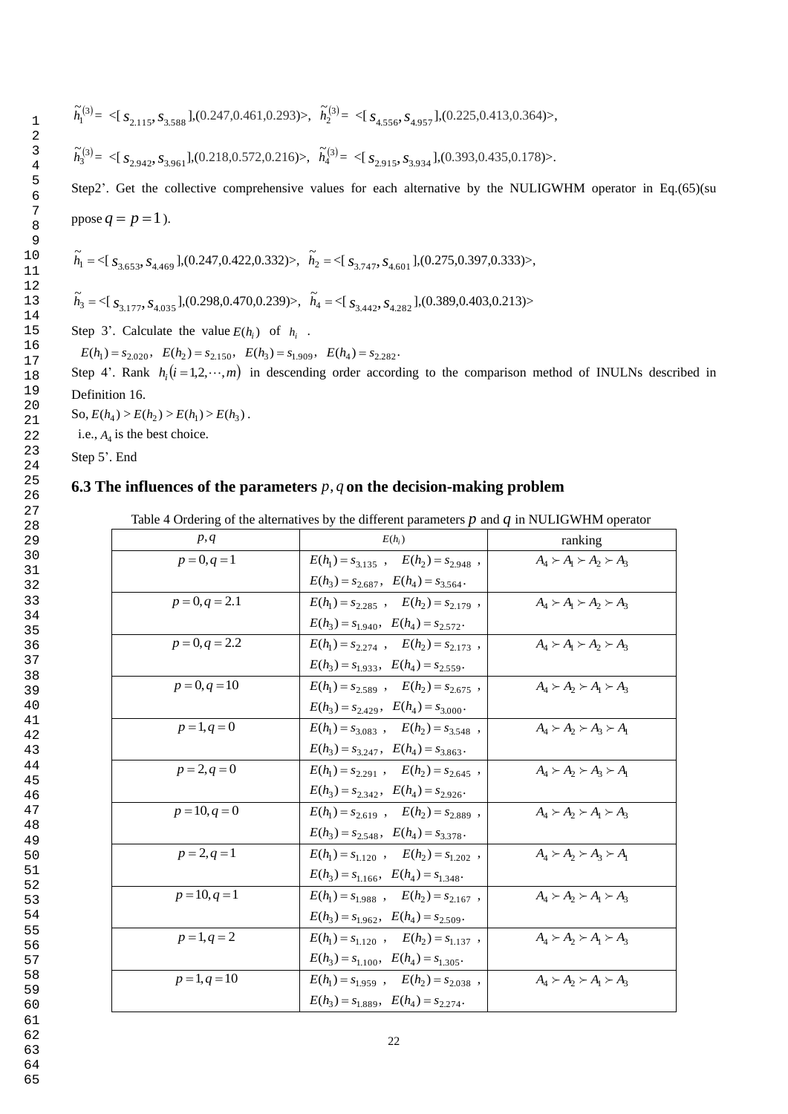$$
\widetilde{h}^{(3)}_{\text{l}} = \langle [ \, s_{2.115}, s_{3.588} \, ], (0.247, 0.461, 0.293) \rangle, \quad \widetilde{h}^{(3)}_{\text{2}} = \langle [ \, s_{4.556}, s_{4.957} \, ], (0.225, 0.413, 0.364) \rangle,
$$

Step2'. Get the collective comprehensive values for each alternative by the NULIGWHM operator in Eq.(65)(su ppose  $q = p = 1$ ).

$$
\widetilde{h}_1 = \langle [s_{3,653}, s_{4,469}], (0.247, 0.422, 0.332) \rangle, \quad \widetilde{h}_2 = \langle [s_{3,747}, s_{4,601}], (0.275, 0.397, 0.333) \rangle,
$$

Step 3'. Calculate the value  $E(h_i)$  of  $h_i$ .

Step 4'. Rank  $h_i$   $(i = 1, 2, \dots, m)$  in descending order according to the comparison method of INULNs described in Definition 16.

 $\text{So, } E(h_1) > E(h_2) > E(h_1) > E(h_3).$ 

i.e.,  $A_4$  is the best choice.

Step 5'. End

## **6.3 The influences of the parameters** *p*, *q* **on the decision-making problem**

|                                                                                             | $^{(3)} = \langle S_{2,115}, S_{3,588} \rangle, (0.247, 0.461, 0.293) \rangle, \quad \tilde{h}_2^{(3)} = \langle S_{4,556}, S_{4,957} \rangle, (0.225, 0.413, 0.364) \rangle,$ |                                                |
|---------------------------------------------------------------------------------------------|--------------------------------------------------------------------------------------------------------------------------------------------------------------------------------|------------------------------------------------|
|                                                                                             | $\tilde{h}_i^{(3)} = \langle [s_{2.942}, s_{3.961}], (0.218, 0.572, 0.216) \rangle$ , $\tilde{h}_4^{(3)} = \langle [s_{2.915}, s_{3.934}], (0.393, 0.435, 0.178) \rangle$ .    |                                                |
|                                                                                             | ep2'. Get the collective comprehensive values for each alternative by the NULIGWHM operator in Eq.                                                                             |                                                |
|                                                                                             |                                                                                                                                                                                |                                                |
| $\cos q = p = 1$ ).                                                                         |                                                                                                                                                                                |                                                |
|                                                                                             | $= \langle [s_{3,653}, s_{4,469}], (0.247, 0.422, 0.332] \rangle, \quad \tilde{h}_2 = \langle [s_{3,747}, s_{4,601}], (0.275, 0.397, 0.333] \rangle,$                          |                                                |
|                                                                                             | $\tilde{h}_4 = \langle [s_{3,177}, s_{4,035}], (0.298, 0.470, 0.239) \rangle$ , $\tilde{h}_4 = \langle [s_{3,442}, s_{4,282}], (0.389, 0.403, 0.213) \rangle$                  |                                                |
| ep 3'. Calculate the value $E(h_i)$ of $h_i$ .                                              |                                                                                                                                                                                |                                                |
| $E(h_1) = s_{2,020}$ , $E(h_2) = s_{2,150}$ , $E(h_3) = s_{1,909}$ , $E(h_4) = s_{2,282}$ . |                                                                                                                                                                                |                                                |
|                                                                                             | ep 4'. Rank $h_i(i=1,2,\dots,m)$ in descending order according to the comparison method of INULNs descr                                                                        |                                                |
| efinition 16.                                                                               |                                                                                                                                                                                |                                                |
| $D, E(h_4) > E(h_2) > E(h_1) > E(h_3).$                                                     |                                                                                                                                                                                |                                                |
| .e., $A_4$ is the best choice.                                                              |                                                                                                                                                                                |                                                |
| ep 5'. End                                                                                  |                                                                                                                                                                                |                                                |
|                                                                                             | 3 The influences of the parameters $p, q$ on the decision-making problem                                                                                                       |                                                |
|                                                                                             |                                                                                                                                                                                |                                                |
| p, q                                                                                        | Table 4 Ordering of the alternatives by the different parameters $p$ and $q$ in NULIGWHM operator<br>$E(h_i)$                                                                  |                                                |
| $p = 0, q = 1$                                                                              | $E(h_1) = s_{3,135}$ , $E(h_2) = s_{2,948}$ ,                                                                                                                                  | ranking<br>$A_1 \succ A_1 \succ A_2 \succ A_3$ |
|                                                                                             | $E(h_3) = s_{2.687}, E(h_4) = s_{3.564}.$                                                                                                                                      |                                                |
| $p = 0, q = 2.1$                                                                            | $E(h_1) = s_{2,285}$ , $E(h_2) = s_{2,179}$ ,                                                                                                                                  | $A_4 \succ A_1 \succ A_2 \succ A_3$            |
|                                                                                             | $E(h_3) = s_{1.940}, \quad E(h_4) = s_{2.572}.$                                                                                                                                |                                                |
| $p = 0, q = 2.2$                                                                            | $E(h_1) = s_{2.274}$ , $E(h_2) = s_{2.173}$ ,                                                                                                                                  | $A_4 \succ A_1 \succ A_2 \succ A_3$            |
|                                                                                             | $E(h_3) = s_{1.933}, \quad E(h_4) = s_{2.559}.$                                                                                                                                |                                                |
| $p = 0, q = 10$                                                                             | $E(h_1) = s_{2.589}$ , $E(h_2) = s_{2.675}$ ,                                                                                                                                  | $A_1 \succ A_2 \succ A_1 \succ A_3$            |
|                                                                                             | $E(h_3) = s_{2.429}$ , $E(h_4) = s_{3.000}$ .                                                                                                                                  |                                                |
| $p = 1, q = 0$                                                                              | $E(h_1) = s_{3.083}$ , $E(h_2) = s_{3.548}$ ,                                                                                                                                  | $A_4 \succ A_2 \succ A_3 \succ A_1$            |
|                                                                                             | $E(h_3) = s_{3.247}, \quad E(h_4) = s_{3.863}.$                                                                                                                                |                                                |
| $p = 2, q = 0$                                                                              | $E(h_1) = s_{2.291}$ , $E(h_2) = s_{2.645}$ ,                                                                                                                                  | $A_4 \succ A_2 \succ A_3 \succ A_1$            |
|                                                                                             | $E(h_3) = s_{2.342}$ , $E(h_4) = s_{2.926}$ .                                                                                                                                  |                                                |
| $p = 10, q = 0$                                                                             | $E(h_1) = s_{2.619}$ , $E(h_2) = s_{2.889}$ ,                                                                                                                                  | $A_4 \succ A_2 \succ A_1 \succ A_3$            |
|                                                                                             | $E(h_3) = s_{2.548}, \quad E(h_4) = s_{3.378}.$                                                                                                                                |                                                |
| $p = 2, q = 1$                                                                              | $E(h_1) = s_{1.120}$ , $E(h_2) = s_{1.202}$ ,                                                                                                                                  | $A_4 \succ A_2 \succ A_3 \succ A_1$            |
|                                                                                             | $E(h_3) = s_{1.166}, \quad E(h_4) = s_{1.348}.$                                                                                                                                |                                                |
| $p = 10, q = 1$                                                                             | $E(h_1) = s_{1.988}$ , $E(h_2) = s_{2.167}$ ,                                                                                                                                  | $A_4 \succ A_2 \succ A_1 \succ A_3$            |
|                                                                                             | $E(h_3) = s_{1.962}, \quad E(h_4) = s_{2.509}.$                                                                                                                                |                                                |
| $p = 1, q = 2$                                                                              | $E(h_1) = s_{1,120}$ , $E(h_2) = s_{1,137}$ ,                                                                                                                                  | $A_4 \succ A_2 \succ A_1 \succ A_3$            |
| $p = 1, q = 10$                                                                             | $E(h_3) = s_{1.100}$ , $E(h_4) = s_{1.305}$ .<br>$E(h_1) = s_{1.959}$ , $E(h_2) = s_{2.038}$ ,                                                                                 | $A_4 \succ A_2 \succ A_1 \succ A_3$            |
|                                                                                             | $E(h_3) = s_{1.889}, \quad E(h_4) = s_{2.274}.$                                                                                                                                |                                                |
|                                                                                             |                                                                                                                                                                                |                                                |
|                                                                                             | 22                                                                                                                                                                             |                                                |

64 65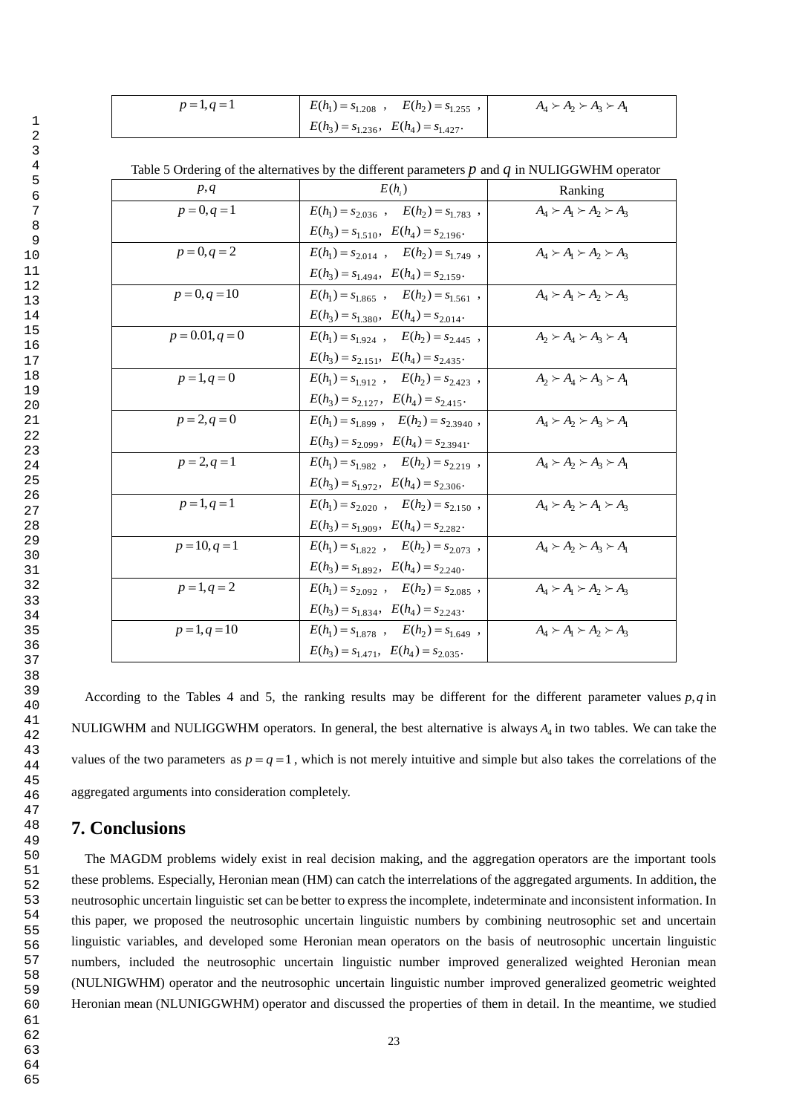| $p = 1, q = 1$ | $E(h_1) = s_{1,208}$ , $E(h_2) = s_{1,255}$ , 1 | $A_4 \succ A_2 \succ A_3 \succ A_1$ |
|----------------|-------------------------------------------------|-------------------------------------|
|                | $E(h_3) = s_{1,236}, \quad E(h_4) = s_{1,427}.$ |                                     |

Table 5 Ordering of the alternatives by the different parameters *p* and *q* in NULIGGWHM operator

| p, q              | $E(h_i)$                                         | Ranking                             |
|-------------------|--------------------------------------------------|-------------------------------------|
| $p = 0, q = 1$    | $E(h_1) = s_{2.036}$ , $E(h_2) = s_{1.783}$ ,    | $A_4 \succ A_1 \succ A_2 \succ A_3$ |
|                   | $E(h_3) = s_{1.510}, \quad E(h_4) = s_{2.196}.$  |                                     |
| $p = 0, q = 2$    | $E(h_1) = s_{2.014}$ , $E(h_2) = s_{1.749}$ ,    | $A_4 \succ A_1 \succ A_2 \succ A_3$ |
|                   | $E(h_3) = s_{1.494}, \quad E(h_4) = s_{2.159}.$  |                                     |
| $p = 0, q = 10$   | $E(h_1) = s_{1.865}$ , $E(h_2) = s_{1.561}$ ,    | $A_4 \succ A_1 \succ A_2 \succ A_3$ |
|                   | $E(h_3) = s_{1.380}, \ E(h_4) = s_{2.014}.$      |                                     |
| $p = 0.01, q = 0$ | $E(h_1) = s_{1.924}$ , $E(h_2) = s_{2.445}$ ,    | $A_2 \succ A_4 \succ A_3 \succ A_1$ |
|                   | $E(h_3) = s_{2.151}$ , $E(h_4) = s_{2.435}$ .    |                                     |
| $p = 1, q = 0$    | $E(h_1) = s_{1.912}$ , $E(h_2) = s_{2.423}$ ,    | $A_2 \succ A_4 \succ A_3 \succ A_1$ |
|                   | $E(h_3) = s_{2.127}$ , $E(h_4) = s_{2.415}$ .    |                                     |
| $p = 2, q = 0$    | $E(h_1) = s_{1.899}$ , $E(h_2) = s_{2.3940}$ ,   | $A_4 \succ A_2 \succ A_3 \succ A_1$ |
|                   | $E(h_3) = s_{2.099}, \quad E(h_4) = s_{2.3941}.$ |                                     |
| $p = 2, q = 1$    | $E(h_1) = s_{1.982}$ , $E(h_2) = s_{2.219}$ ,    | $A_4 \succ A_2 \succ A_3 \succ A_1$ |
|                   | $E(h_3) = s_{1.972}, \ E(h_4) = s_{2.306}.$      |                                     |
| $p = 1, q = 1$    | $E(h_1) = s_{2.020}$ , $E(h_2) = s_{2.150}$ ,    | $A_4 \succ A_2 \succ A_1 \succ A_3$ |
|                   | $E(h_3) = s_{1.909}, \quad E(h_4) = s_{2.282}.$  |                                     |
| $p = 10, q = 1$   | $E(h_1) = s_{1.822}$ , $E(h_2) = s_{2.073}$ ,    | $A_4 \succ A_2 \succ A_3 \succ A_1$ |
|                   | $E(h_3) = s_{1.892}, E(h_4) = s_{2.240}.$        |                                     |
| $p = 1, q = 2$    | $E(h_1) = s_{2.092}$ , $E(h_2) = s_{2.085}$ ,    | $A_4 \succ A_1 \succ A_2 \succ A_3$ |
|                   | $E(h_3) = s_{1.834}$ , $E(h_4) = s_{2.243}$ .    |                                     |
| $p = 1, q = 10$   | $E(h_1) = s_{1.878}$ , $E(h_2) = s_{1.649}$ ,    | $A_4 \succ A_1 \succ A_2 \succ A_3$ |
|                   | $E(h_3) = s_{1.471}, \quad E(h_4) = s_{2.035}.$  |                                     |

 According to the Tables 4 and 5, the ranking results may be different for the different parameter values *p*,*q* in NULIGWHM and NULIGGWHM operators. In general, the best alternative is always  $A_4$  in two tables. We can take the values of the two parameters as  $p = q = 1$ , which is not merely intuitive and simple but also takes the correlations of the aggregated arguments into consideration completely.

# **7. Conclusions**

 The MAGDM problems widely exist in real decision making, and the aggregation operators are the important tools these problems. Especially, Heronian mean (HM) can catch the interrelations of the aggregated arguments. In addition, the neutrosophic uncertain linguistic set can be better to express the incomplete, indeterminate and inconsistent information. In this paper, we proposed the neutrosophic uncertain linguistic numbers by combining neutrosophic set and uncertain linguistic variables, and developed some Heronian mean operators on the basis of neutrosophic uncertain linguistic numbers, included the neutrosophic uncertain linguistic number improved generalized weighted Heronian mean (NULNIGWHM) operator and the neutrosophic uncertain linguistic number improved generalized geometric weighted Heronian mean (NLUNIGGWHM) operator and discussed the properties of them in detail. In the meantime, we studied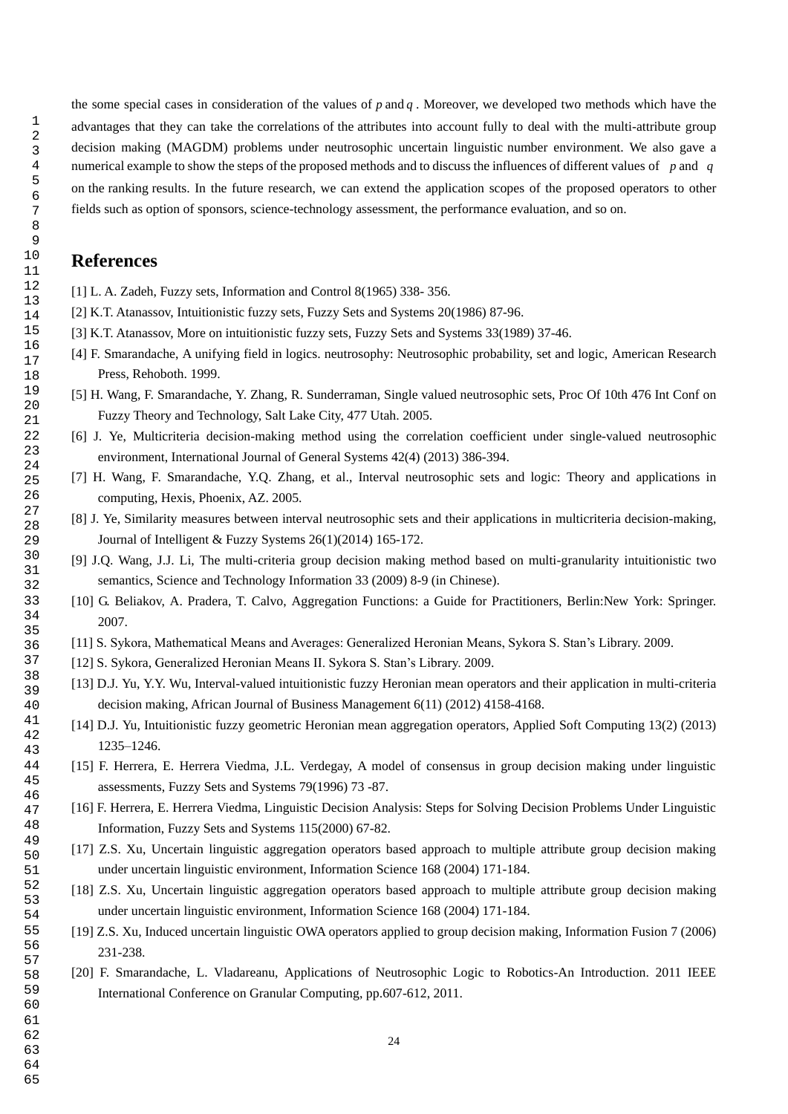the some special cases in consideration of the values of  $p$  and  $q$ . Moreover, we developed two methods which have the advantages that they can take the correlations of the attributes into account fully to deal with the multi-attribute group decision making (MAGDM) problems under neutrosophic uncertain linguistic number environment. We also gave a numerical example to show the steps of the proposed methods and to discuss the influences of different values of *p* and *q* on the ranking results. In the future research, we can extend the application scopes of the proposed operators to other fields such as option of sponsors, science-technology assessment, the performance evaluation, and so on.

# **References**

- [1] L. A. Zadeh, Fuzzy sets, Information and Control 8(1965) 338- 356.
- [2] K.T. Atanassov, Intuitionistic fuzzy sets, Fuzzy Sets and Systems 20(1986) 87-96.
- [3] K.T. Atanassov, More on intuitionistic fuzzy sets, Fuzzy Sets and Systems 33(1989) 37-46.
- [4] F. Smarandache, A unifying field in logics. neutrosophy: Neutrosophic probability, set and logic, American Research Press, Rehoboth. 1999.
- [5] H. Wang, F. Smarandache, Y. Zhang, R. Sunderraman, Single valued neutrosophic sets, Proc Of 10th 476 Int Conf on Fuzzy Theory and Technology, Salt Lake City, 477 Utah. 2005.
- [6] J. Ye, Multicriteria decision-making method using the correlation coefficient under single-valued neutrosophic environment, International Journal of General Systems 42(4) (2013) 386-394.
- [7] H. Wang, F. Smarandache, Y.Q. Zhang, et al., Interval neutrosophic sets and logic: Theory and applications in computing, Hexis, Phoenix, AZ. 2005.
- [8] J. Ye, Similarity measures between interval neutrosophic sets and their applications in multicriteria decision-making, Journal of Intelligent & Fuzzy Systems 26(1)(2014) 165-172.
- [9] J.Q. Wang, J.J. Li, The multi-criteria group decision making method based on multi-granularity intuitionistic two semantics, Science and Technology Information 33 (2009) 8-9 (in Chinese).
- [10] G. Beliakov, A. Pradera, T. Calvo, Aggregation Functions: a Guide for Practitioners, Berlin:New York: Springer. 2007.
- [11] S. Sykora, Mathematical Means and Averages: Generalized Heronian Means, Sykora S. Stan's Library. 2009.
- [12] S. Sykora, Generalized Heronian Means II. Sykora S. Stan's Library. 2009.
- [13] D.J. Yu, Y.Y. Wu, Interval-valued intuitionistic fuzzy Heronian mean operators and their application in multi-criteria decision making, African Journal of Business Management 6(11) (2012) 4158-4168.
- [14] D.J. Yu, Intuitionistic fuzzy geometric Heronian mean aggregation operators, Applied Soft Computing 13(2) (2013) 1235–1246.
- [15] F. Herrera, E. Herrera Viedma, J.L. Verdegay, A model of consensus in group decision making under linguistic assessments, Fuzzy Sets and Systems 79(1996) 73 -87.
- [16] F. Herrera, E. Herrera Viedma, Linguistic Decision Analysis: Steps for Solving Decision Problems Under Linguistic Information, Fuzzy Sets and Systems 115(2000) 67-82.
- [17] Z.S. Xu, Uncertain linguistic aggregation operators based approach to multiple attribute group decision making under uncertain linguistic environment, Information Science 168 (2004) 171-184.
- [18] Z.S. Xu, Uncertain linguistic aggregation operators based approach to multiple attribute group decision making under uncertain linguistic environment, Information Science 168 (2004) 171-184.
- [19] Z.S. Xu, Induced uncertain linguistic OWA operators applied to group decision making, Information Fusion 7 (2006) 231-238.
- [20] F. Smarandache, L. Vladareanu, Applications of Neutrosophic Logic to Robotics-An Introduction. 2011 IEEE International Conference on Granular Computing, pp.607-612, 2011.